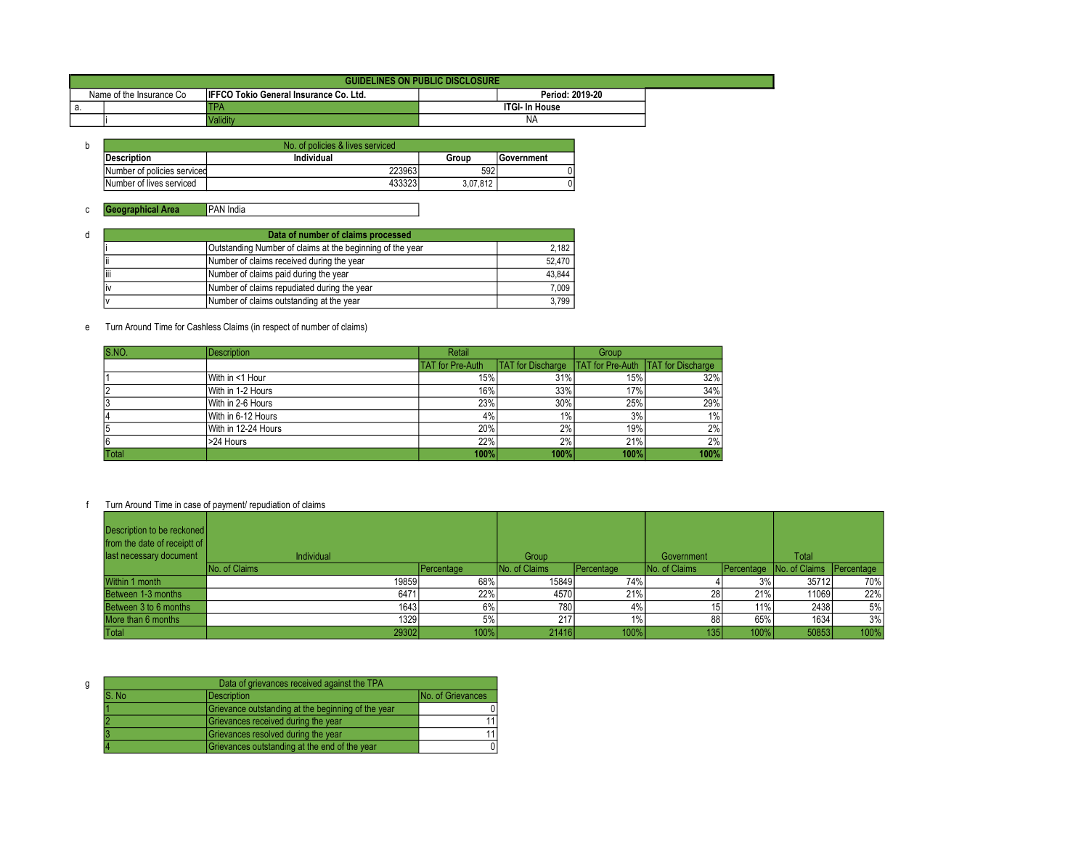| <b>GUIDELINES ON PUBLIC DISCLOSURE</b> |                          |                                               |                       |  |  |
|----------------------------------------|--------------------------|-----------------------------------------------|-----------------------|--|--|
|                                        | Name of the Insurance Co | <b>IFFCO Tokio General Insurance Co. Ltd.</b> | Period: 2019-20       |  |  |
| а                                      |                          | IPA                                           | <b>ITGI- In House</b> |  |  |
|                                        |                          | <b>Validity</b>                               | <b>INA</b>            |  |  |

| No. of policies & lives serviced |            |          |            |  |  |
|----------------------------------|------------|----------|------------|--|--|
| <b>IDescription</b>              | Individual | Group    | Government |  |  |
| Number of policies serviced      | 223963     | 592      |            |  |  |
| Number of lives serviced         | 433323     | 3.07.812 |            |  |  |

| d | Data of number of claims processed        |                                                           |        |  |  |  |
|---|-------------------------------------------|-----------------------------------------------------------|--------|--|--|--|
|   |                                           | Outstanding Number of claims at the beginning of the year | 2.182  |  |  |  |
|   | Number of claims received during the year | 52.470                                                    |        |  |  |  |
|   | ۱ii                                       | Number of claims paid during the year                     | 43,844 |  |  |  |
|   |                                           | Number of claims repudiated during the year               | 7.009  |  |  |  |
|   |                                           | Number of claims outstanding at the year                  | 3.799  |  |  |  |

#### e Turn Around Time for Cashless Claims (in respect of number of claims)

| S.NO. | <b>Description</b>  | Retail                  |                          | Group |                                           |
|-------|---------------------|-------------------------|--------------------------|-------|-------------------------------------------|
|       |                     | <b>TAT</b> for Pre-Auth | <b>TAT</b> for Discharge |       | <b>TAT for Pre-Auth TAT for Discharge</b> |
|       | With in <1 Hour     | 15%                     | 31%                      | 15%   | 32%                                       |
|       | With in 1-2 Hours   | 16%                     | 33%                      | 17%   | 34%                                       |
|       | With in 2-6 Hours   | 23%                     | 30%                      | 25%   | 29%                                       |
|       | With in 6-12 Hours  | 4%                      | 1%                       | 3%    | $1\%$                                     |
| 5     | With in 12-24 Hours | 20%                     | 2%                       | 19%   | 2%                                        |
| 16    | >24 Hours           | 22%                     | 2%                       | 21%   | 2%                                        |
| Total |                     | 100%                    | 100%                     | 100%  | 100%                                      |

| Description to be reckoned<br>from the date of receiptt of<br>last necessary document | <b>Individual</b> |            | Group         |            | Government    |         | Total                               |      |
|---------------------------------------------------------------------------------------|-------------------|------------|---------------|------------|---------------|---------|-------------------------------------|------|
|                                                                                       | No. of Claims     | Percentage | No. of Claims | Percentage | No. of Claims |         | Percentage No. of Claims Percentage |      |
| Within 1 month                                                                        | 19859             | 68%        | 15849         | 74%        |               | 3%      | 35712                               | 70%  |
| Between 1-3 months                                                                    | 6471              | 22%        | 4570          | 21%        | 28            | 21%     | 11069                               | 22%  |
| Between 3 to 6 months                                                                 | 16431             | 6%         | 780           | 4%         | 15            | 11%     | 2438                                | 5%   |
| More than 6 months                                                                    | 1329              | 5%         | 217           |            | 88            | 65%     | 1634                                | 3%   |
| Total                                                                                 | 29302             | 100%       | 21416         | 100%       | 135           | $100\%$ | 50853                               | 100% |

| g | Data of grievances received against the TPA |                                                    |                          |  |  |
|---|---------------------------------------------|----------------------------------------------------|--------------------------|--|--|
|   | S. No                                       | <b>IDescription</b>                                | <b>No. of Grievances</b> |  |  |
|   |                                             | Grievance outstanding at the beginning of the year |                          |  |  |
|   |                                             | Grievances received during the year                | 11                       |  |  |
|   |                                             | Grievances resolved during the year                | 11                       |  |  |
|   |                                             | Grievances outstanding at the end of the year      |                          |  |  |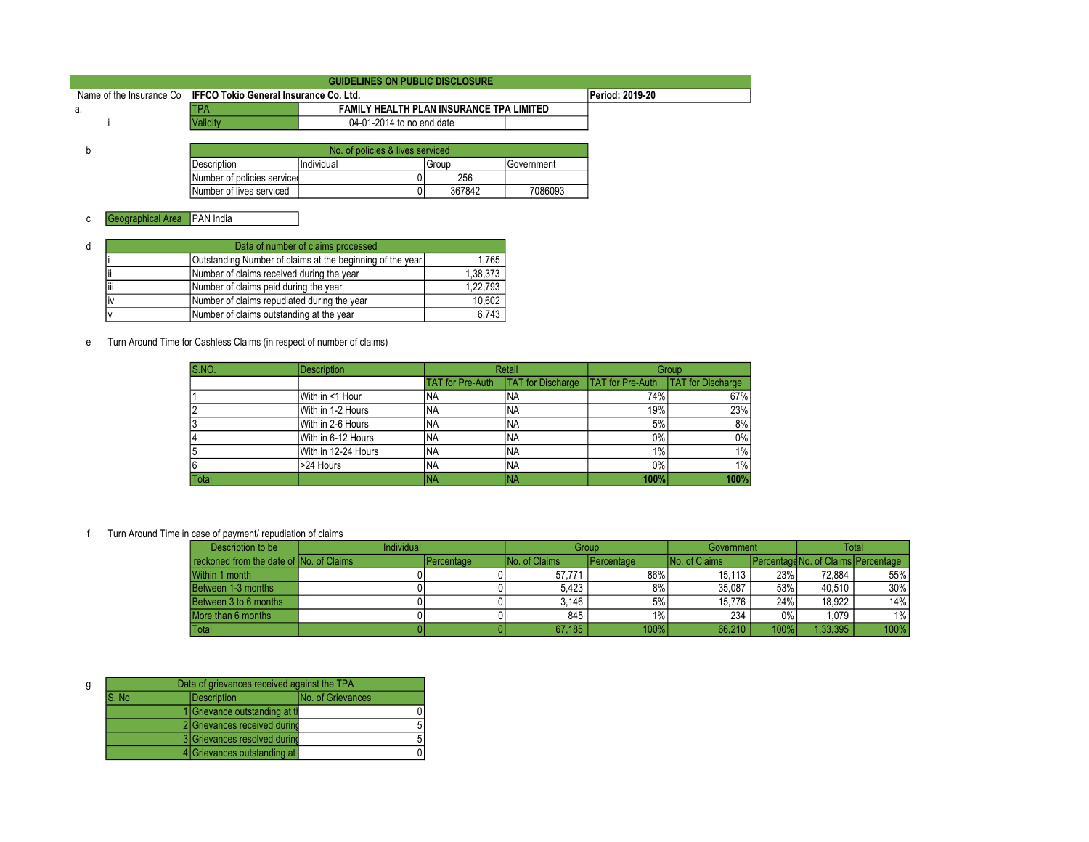| GUIDELINES ON PUBLIC DISCLOSURE                                 |                 |                                          |  |  |  |  |
|-----------------------------------------------------------------|-----------------|------------------------------------------|--|--|--|--|
| Name of the Insurance Co IFFCO Tokio General Insurance Co. Ltd. |                 | Period: 2019-20                          |  |  |  |  |
| а.                                                              | ITPA            | FAMILY HEALTH PLAN INSURANCE TPA LIMITED |  |  |  |  |
|                                                                 | <b>Validity</b> | 04-01-2014 to no end date                |  |  |  |  |
|                                                                 |                 |                                          |  |  |  |  |
|                                                                 |                 | No. of policies & lives serviced         |  |  |  |  |

|                             | No. of policies & lives serviced |        |              |  |
|-----------------------------|----------------------------------|--------|--------------|--|
| Description                 | <i>Individual</i>                | Group  | I Government |  |
| Number of policies serviced |                                  | 256    |              |  |
| Number of lives serviced    |                                  | 367842 | 7086093      |  |

| d | Data of number of claims processed                        |          |        |  |  |  |
|---|-----------------------------------------------------------|----------|--------|--|--|--|
|   | Outstanding Number of claims at the beginning of the year | 1,765    |        |  |  |  |
|   | Number of claims received during the year                 | 1,38,373 |        |  |  |  |
|   | liii<br>Number of claims paid during the year             | 1,22,793 |        |  |  |  |
|   | Number of claims repudiated during the year<br>IV         |          | 10,602 |  |  |  |
|   | Number of claims outstanding at the year                  | 6,743    |        |  |  |  |

e Turn Around Time for Cashless Claims (in respect of number of claims)

| S.NO. | <b>Description</b>  | Retail                  |                          | Group                   |                          |
|-------|---------------------|-------------------------|--------------------------|-------------------------|--------------------------|
|       |                     | <b>TAT for Pre-Auth</b> | <b>TAT</b> for Discharge | <b>TAT</b> for Pre-Auth | <b>TAT</b> for Discharge |
|       | With in <1 Hour     | INA                     | <b>INA</b>               | 74%                     | 67%                      |
|       | With in 1-2 Hours   | <b>INA</b>              | <b>INA</b>               | 19%                     | 23%                      |
| 13    | With in 2-6 Hours   | <b>NA</b>               | INA                      | 5%                      | 8%                       |
|       | With in 6-12 Hours  | <b>INA</b>              | <b>INA</b>               | $0\%$                   | $0\%$                    |
| 15    | With in 12-24 Hours | 'NA                     | <b>INA</b>               | $1\%$                   | $1\%$                    |
| 16    | >24 Hours           | <b>NA</b>               | INA                      | $0\%$                   | $1\%$                    |
| Total |                     | <sup>I</sup> NA         | <b>INA</b>               | 100%                    | 100%                     |

| Description to be                        | <b>Individual</b> |                    | Group                |              | Government           |         | Total                                        |        |
|------------------------------------------|-------------------|--------------------|----------------------|--------------|----------------------|---------|----------------------------------------------|--------|
| reckoned from the date of INo. of Claims |                   | <b>IPercentage</b> | <b>No. of Claims</b> | l Percentage | <b>No. of Claims</b> |         | <b>IPercentage No. of Claims IPercentage</b> |        |
| Within 1 month                           |                   |                    | 57.771               | 86%          | 15.113               | 23%     | 72.884                                       | 55%    |
| Between 1-3 months                       |                   |                    | 5.423                | 8%           | 35.087               | 53%     | 40.510                                       | $30\%$ |
| Between 3 to 6 months                    |                   |                    | 3.146                | 5%           | 15.776               | 24%     | 18.922                                       | 14%    |
| More than 6 months                       |                   |                    | 845                  | 1%           | 234                  | $0\%$   | 1.079                                        | $1\%$  |
| <b>Total</b>                             |                   |                    | 67.185               | 100%         | 66.210               | $100\%$ | 1.33.395                                     | 100%   |

| g | Data of grievances received against the TPA |                                |                          |  |  |  |
|---|---------------------------------------------|--------------------------------|--------------------------|--|--|--|
|   | S. No.                                      | Description                    | <b>No. of Grievances</b> |  |  |  |
|   |                                             | 1 Grievance outstanding at the |                          |  |  |  |
|   |                                             | 2 Grievances received during   |                          |  |  |  |
|   |                                             | 3 Grievances resolved during   |                          |  |  |  |
|   |                                             | 4 Grievances outstanding at    |                          |  |  |  |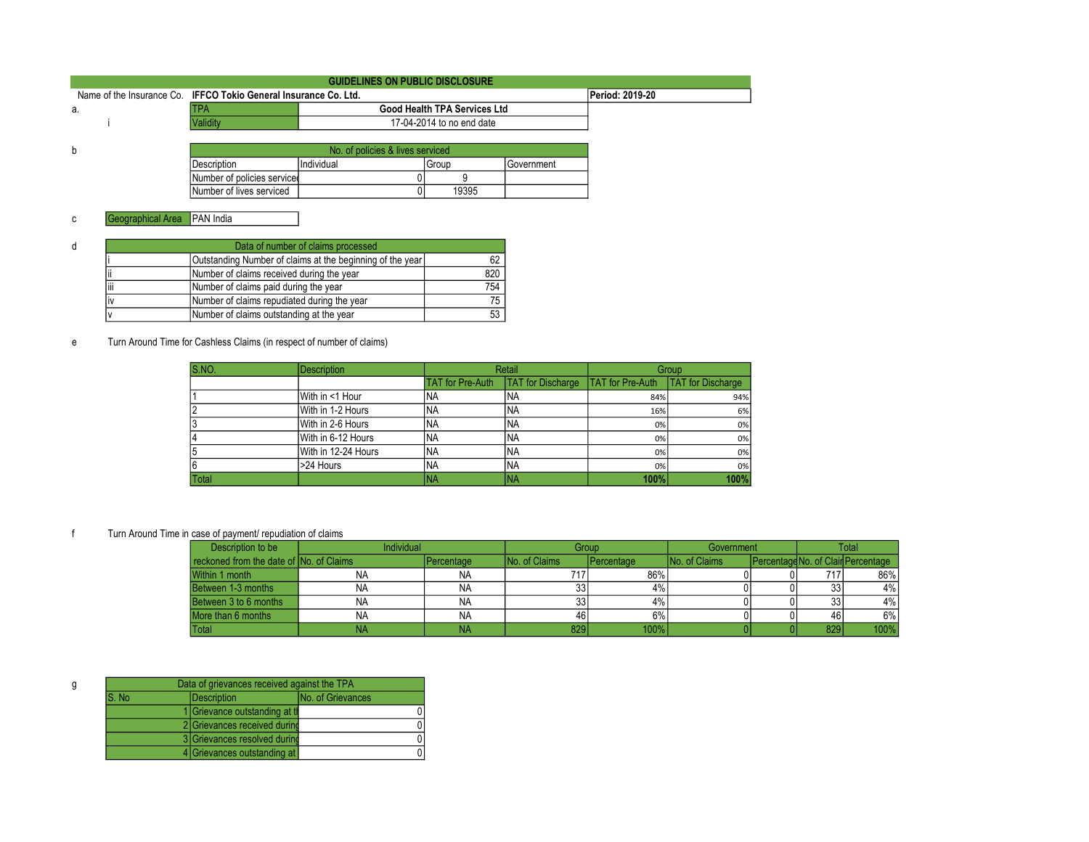| <b>GUIDELINES ON PUBLIC DISCLOSURE</b>                           |                             |                                  |                                     |                     |                 |  |  |
|------------------------------------------------------------------|-----------------------------|----------------------------------|-------------------------------------|---------------------|-----------------|--|--|
| Name of the Insurance Co. IFFCO Tokio General Insurance Co. Ltd. |                             |                                  |                                     |                     | Period: 2019-20 |  |  |
| а.                                                               | <b>TPA</b>                  |                                  | <b>Good Health TPA Services Ltd</b> |                     |                 |  |  |
|                                                                  | Validity                    |                                  | 17-04-2014 to no end date           |                     |                 |  |  |
|                                                                  |                             |                                  |                                     |                     |                 |  |  |
| b                                                                |                             | No. of policies & lives serviced |                                     |                     |                 |  |  |
|                                                                  | <b>Description</b>          | Individual                       | Group                               | <b>I</b> Government |                 |  |  |
|                                                                  | Number of policies serviced |                                  |                                     |                     |                 |  |  |
|                                                                  | Number of lives serviced    |                                  | 19395                               |                     |                 |  |  |

| đ |        |                                                           |     |
|---|--------|-----------------------------------------------------------|-----|
|   |        | Outstanding Number of claims at the beginning of the year |     |
|   |        | Number of claims received during the year                 | 820 |
|   | <br>IШ | Number of claims paid during the year                     | 754 |
|   |        | Number of claims repudiated during the year               |     |
|   |        | Number of claims outstanding at the year                  |     |

e Turn Around Time for Cashless Claims (in respect of number of claims)

| S.NO. | <b>Description</b>  | Retail                  |                          | Group                   |                          |
|-------|---------------------|-------------------------|--------------------------|-------------------------|--------------------------|
|       |                     | <b>TAT for Pre-Auth</b> | <b>TAT</b> for Discharge | <b>TAT</b> for Pre-Auth | <b>TAT</b> for Discharge |
|       | With in <1 Hour     | INA                     | INA                      | 84%                     | 94%                      |
|       | With in 1-2 Hours   | INA                     | INA                      | 16%                     | 6%                       |
| 13    | With in 2-6 Hours   | INA                     | INA                      | 0%                      | 0%                       |
| 14    | With in 6-12 Hours  | <b>INA</b>              | INA                      | 0%                      | 0%                       |
| 15    | With in 12-24 Hours | <b>INA</b>              | INA                      | 0%                      | 0%                       |
| 16    | >24 Hours           | <b>INA</b>              | INA                      | 0%                      | 0%                       |
| Total |                     | <b>NA</b>               | <b>TNA</b>               | 100%                    | 100%                     |

f Turn Around Time in case of payment/ repudiation of claims

| Description to be                       | Individual | Group              |                      | Government         |                      | Total |     |                                    |
|-----------------------------------------|------------|--------------------|----------------------|--------------------|----------------------|-------|-----|------------------------------------|
| reckoned from the date of No. of Claims |            | <b>IPercentage</b> | <b>No. of Claims</b> | <b>IPercentage</b> | <b>No. of Claims</b> |       |     | Percentage No. of Clair Percentage |
| Within 1 month                          | <b>NA</b>  | <b>NA</b>          |                      | 86%                |                      |       | 717 | 86%                                |
| Between 1-3 months                      | <b>NA</b>  | <b>NA</b>          | 33                   | 4%                 |                      |       | 33  | 4%                                 |
| Between 3 to 6 months                   | <b>NA</b>  | <b>NA</b>          |                      | 4%                 |                      |       | 33  | 4%                                 |
| More than 6 months                      | <b>NA</b>  | <b>NA</b>          | 46 <sup>1</sup>      | 6%                 |                      |       | 46  | 6%                                 |
| <b>Total</b>                            | NA         | ΝA                 |                      | 100%               |                      |       | 829 | 100%                               |

|       | Data of grievances received against the TPA |                          |  |  |  |  |  |
|-------|---------------------------------------------|--------------------------|--|--|--|--|--|
| S. No | <b>Description</b>                          | <b>No. of Grievances</b> |  |  |  |  |  |
|       | 1 Grievance outstanding at the              |                          |  |  |  |  |  |
|       | 2 Grievances received during                |                          |  |  |  |  |  |
|       | 3 Grievances resolved during                |                          |  |  |  |  |  |
|       | 4 Grievances outstanding at                 |                          |  |  |  |  |  |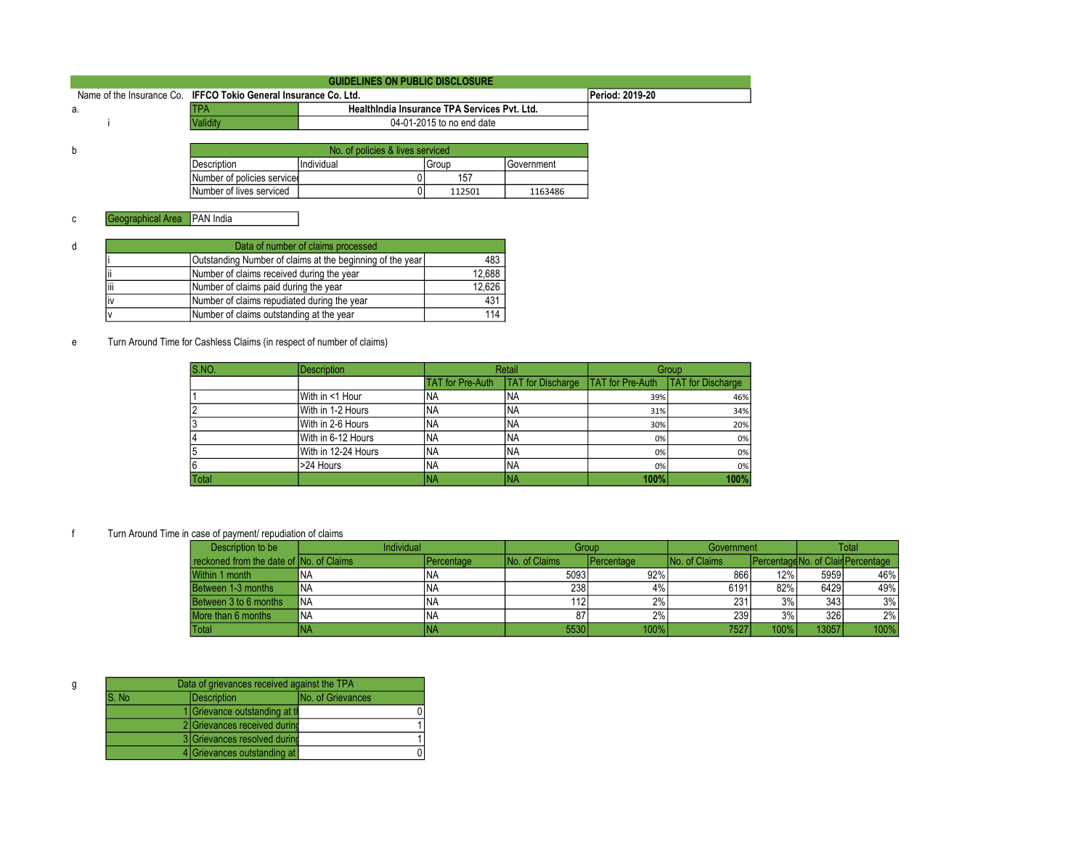| <b>GUIDELINES ON PUBLIC DISCLOSURE</b>                           |                             |                                  |                                              |            |                 |  |  |
|------------------------------------------------------------------|-----------------------------|----------------------------------|----------------------------------------------|------------|-----------------|--|--|
| Name of the Insurance Co. IFFCO Tokio General Insurance Co. Ltd. |                             |                                  |                                              |            | Period: 2019-20 |  |  |
| а.                                                               | <b>TPA</b>                  |                                  | HealthIndia Insurance TPA Services Pvt. Ltd. |            |                 |  |  |
|                                                                  | <b>Validity</b>             |                                  | 04-01-2015 to no end date                    |            |                 |  |  |
|                                                                  |                             |                                  |                                              |            |                 |  |  |
| b                                                                |                             | No. of policies & lives serviced |                                              |            |                 |  |  |
|                                                                  | Description                 | Individual                       | l Group                                      | Government |                 |  |  |
|                                                                  | Number of policies serviced |                                  | 157                                          |            |                 |  |  |
|                                                                  | Number of lives serviced    |                                  | 112501                                       | 1163486    |                 |  |  |

|                                           | Data of number of claims processed                        |        |  |  |  |  |  |
|-------------------------------------------|-----------------------------------------------------------|--------|--|--|--|--|--|
|                                           | Outstanding Number of claims at the beginning of the year |        |  |  |  |  |  |
| Number of claims received during the year |                                                           |        |  |  |  |  |  |
| <br>Ιiii                                  | Number of claims paid during the year                     | 12.626 |  |  |  |  |  |
|                                           | Number of claims repudiated during the year               | 431    |  |  |  |  |  |
|                                           | Number of claims outstanding at the year                  | 114    |  |  |  |  |  |

e Turn Around Time for Cashless Claims (in respect of number of claims)

| S.NO. | <b>Description</b>  |                         | Retail                   |                         | Group                    |
|-------|---------------------|-------------------------|--------------------------|-------------------------|--------------------------|
|       |                     | <b>TAT</b> for Pre-Auth | <b>TAT</b> for Discharge | <b>TAT for Pre-Auth</b> | <b>TAT</b> for Discharge |
|       | With in <1 Hour     | INA                     | INA                      | 39%                     | 46%                      |
|       | With in 1-2 Hours   | INA                     | INA                      | 31%                     | 34%                      |
| 13    | With in 2-6 Hours   | INA                     | INA                      | 30%                     | 20%                      |
| 14    | With in 6-12 Hours  | <b>INA</b>              | <b>INA</b>               | 0%                      | 0%                       |
| l5    | With in 12-24 Hours | <b>INA</b>              | INA                      | 0%                      | 0%                       |
| 16    | >24 Hours           | INA                     | INA                      | 0%                      | 0%                       |
| Total |                     | <b>NA</b>               | <b>INA</b>               | 100%                    | 100%                     |

f Turn Around Time in case of payment/ repudiation of claims

| Description to be                        | Individual |            | Group                 |              | Government           |      | Total |                                           |
|------------------------------------------|------------|------------|-----------------------|--------------|----------------------|------|-------|-------------------------------------------|
| reckoned from the date of INo. of Claims |            | Percentage | <b>INo. of Claims</b> | l Percentage | <b>No. of Claims</b> |      |       | <b>IPercentageNo. of Clair Percentage</b> |
| Within 1 month                           | 'NA        | INA        | 5093                  | 92%          | 866                  | 12%  | 5959  | 46%                                       |
| Between 1-3 months                       | <b>INA</b> | INA        | 238                   | 4%           | 6191                 | 82%  | 6429  | 49%                                       |
| Between 3 to 6 months                    | <b>INA</b> | INA        | 112                   | 2%           | 231                  | 3%   | 343   | 3%                                        |
| More than 6 months                       | <b>INA</b> | <b>INA</b> | 87                    | 2%           | 239                  | 3%   | 326   | 2%                                        |
| Total                                    | NA         | INA        | 5530                  | 100%         | 7527                 | 100% | 13057 | 100%                                      |

| Data of grievances received against the TPA |  |                                |                          |  |  |  |
|---------------------------------------------|--|--------------------------------|--------------------------|--|--|--|
| S. No                                       |  | Description                    | <b>No. of Grievances</b> |  |  |  |
|                                             |  | 1 Grievance outstanding at the |                          |  |  |  |
|                                             |  | 2 Grievances received during   |                          |  |  |  |
|                                             |  | 3 Grievances resolved during   |                          |  |  |  |
|                                             |  | 4 Grievances outstanding at    |                          |  |  |  |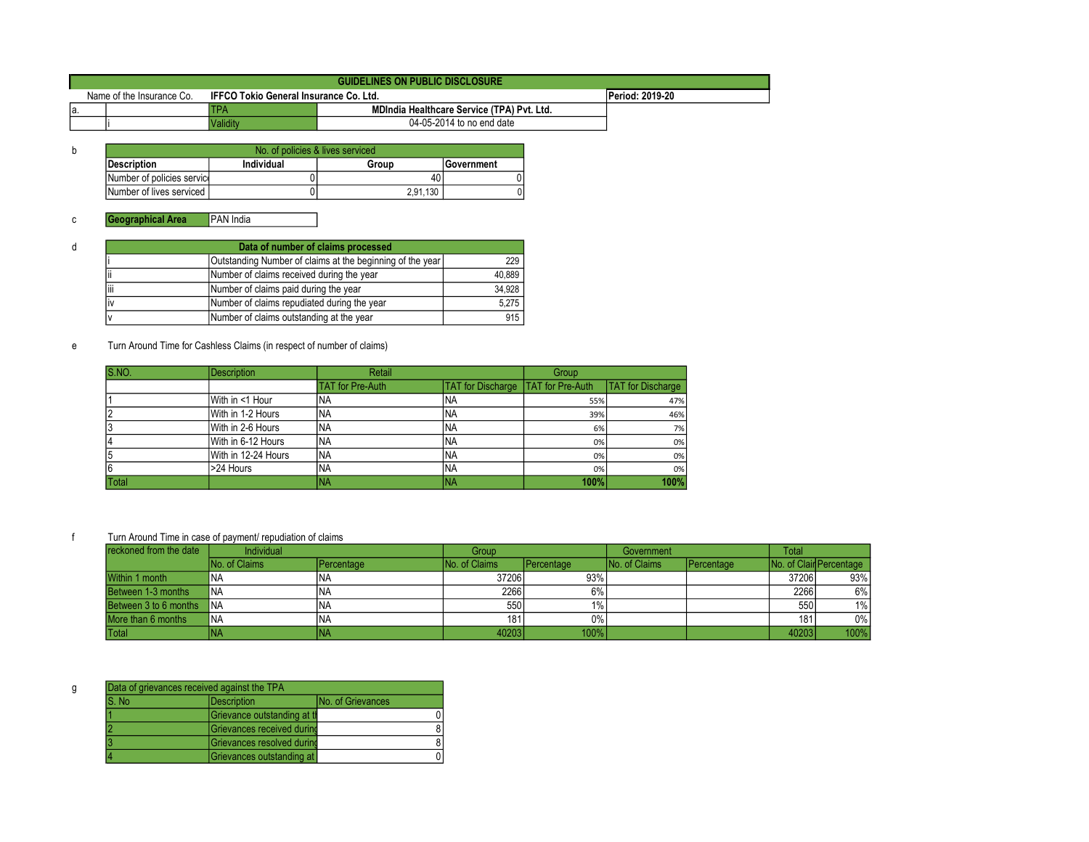|     | <b>GUIDELINES ON PUBLIC DISCLOSURE</b> |                 |                                            |  |  |  |  |  |
|-----|----------------------------------------|-----------------|--------------------------------------------|--|--|--|--|--|
|     | Name of the Insurance Co.              | Period: 2019-20 |                                            |  |  |  |  |  |
| la. |                                        | <b>ITPA</b>     | MDIndia Healthcare Service (TPA) Pvt. Ltd. |  |  |  |  |  |
|     |                                        | <b>Validity</b> | 04-05-2014 to no end date                  |  |  |  |  |  |

| No. of policies & lives serviced |            |          |                   |  |  |  |  |
|----------------------------------|------------|----------|-------------------|--|--|--|--|
| <b>Description</b>               | Individual | Group    | <b>Government</b> |  |  |  |  |
| Number of policies service       |            | 40       |                   |  |  |  |  |
| <b>INumber of lives serviced</b> |            | 2.91.130 |                   |  |  |  |  |

| Data of number of claims processed                        |                                             |        |  |  |  |
|-----------------------------------------------------------|---------------------------------------------|--------|--|--|--|
| Outstanding Number of claims at the beginning of the year |                                             |        |  |  |  |
| II                                                        | Number of claims received during the year   | 40,889 |  |  |  |
| liii                                                      | Number of claims paid during the year       | 34,928 |  |  |  |
| li٧                                                       | Number of claims repudiated during the year | 5,275  |  |  |  |
|                                                           | Number of claims outstanding at the year    | 915    |  |  |  |

e Turn Around Time for Cashless Claims (in respect of number of claims)

| S.NO. | <b>Description</b>  | Retail                  |                                             | Group |                          |
|-------|---------------------|-------------------------|---------------------------------------------|-------|--------------------------|
|       |                     | <b>TAT for Pre-Auth</b> | <b>TAT for Discharge   TAT for Pre-Auth</b> |       | <b>TAT</b> for Discharge |
|       | With in <1 Hour     | INA                     | 'NA                                         | 55%   | 47%                      |
|       | With in 1-2 Hours   | INA                     | <b>NA</b>                                   | 39%   | 46%                      |
|       | With in 2-6 Hours   | <b>NA</b>               | 'NA                                         | 6%    | 7%                       |
|       | With in 6-12 Hours  | <b>NA</b>               | 'NA                                         | 0%    | 0%                       |
| 5     | With in 12-24 Hours | INA                     | <b>NA</b>                                   | 0%    | 0%                       |
| 6     | >24 Hours           | <b>NA</b>               | 'NA                                         | 0%    | 0%                       |
| Total |                     | <b>NA</b>               | NA                                          | 100%  | 100%                     |

| reckoned from the date   | Individual           |            | Group                |            | Government           |            | <b>Total</b> |                         |
|--------------------------|----------------------|------------|----------------------|------------|----------------------|------------|--------------|-------------------------|
|                          | <b>No. of Claims</b> | Percentage | <b>No. of Claims</b> | Percentage | <b>No. of Claims</b> | Percentage |              | No. of Clair Percentage |
| Within 1 month           | INA                  | INA        | 37206                | 93%        |                      |            | 37206        | 93%                     |
| Between 1-3 months       | <b>INA</b>           | INA        | 2266                 | 6%         |                      |            | 2266         | 6%                      |
| Between 3 to 6 months NA |                      | <b>INA</b> | 550                  | $1\%$      |                      |            | 550          | $1\%$                   |
| More than 6 months       | <b>INA</b>           | INA        | 181                  | $0\%$      |                      |            | 181          | $0\%$                   |
| Total                    | <b>INA</b>           |            | 40203                | 100%       |                      |            | 40203        | 100%                    |

|       | Data of grievances received against the TPA      |  |  |  |  |
|-------|--------------------------------------------------|--|--|--|--|
| S. No | <b>IDescription</b><br><b>INo. of Grievances</b> |  |  |  |  |
|       | Grievance outstanding at th                      |  |  |  |  |
|       | Grievances received durind                       |  |  |  |  |
|       | Grievances resolved durind                       |  |  |  |  |
|       | Grievances outstanding at                        |  |  |  |  |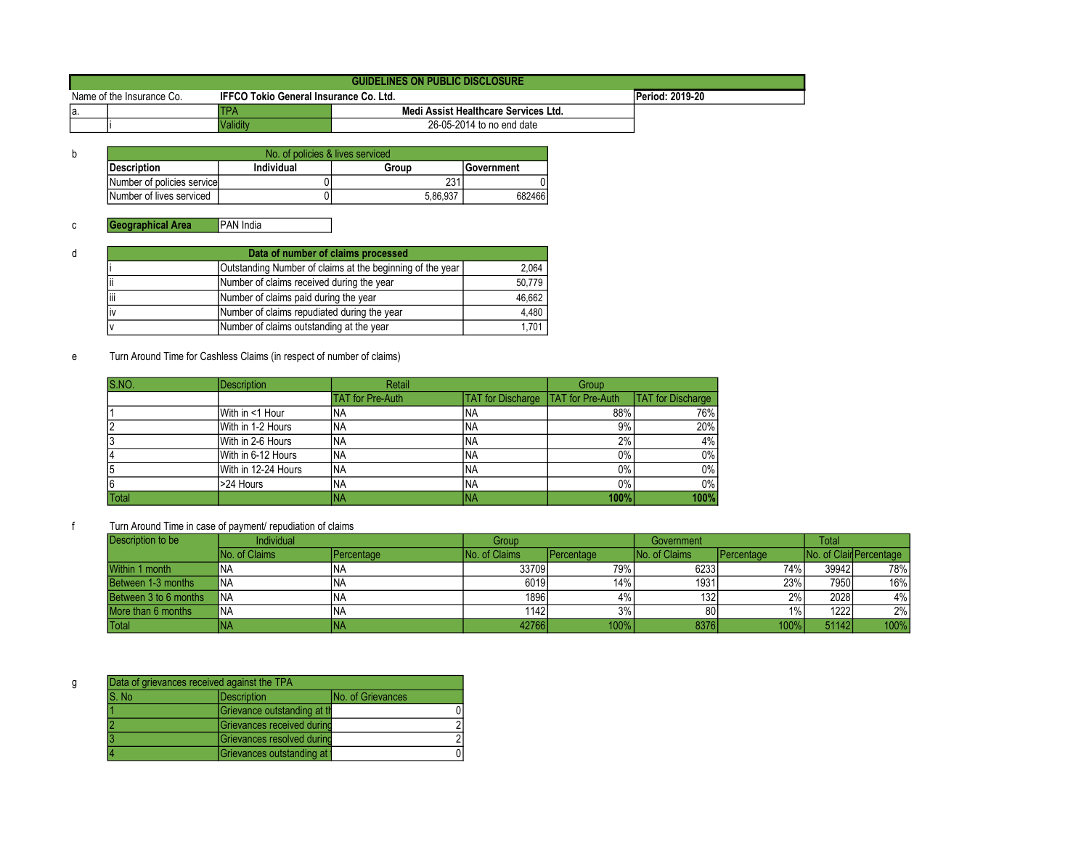|                           | <b>GUIDELINES ON PUBLIC DISCLOSURE</b> |                                               |                                      |                        |  |  |
|---------------------------|----------------------------------------|-----------------------------------------------|--------------------------------------|------------------------|--|--|
| Name of the Insurance Co. |                                        | <b>IFFCO Tokio General Insurance Co. Ltd.</b> |                                      | <b>Period: 2019-20</b> |  |  |
| Ia.                       |                                        | TPA                                           | Medi Assist Healthcare Services Ltd. |                        |  |  |
|                           |                                        | Validitv                                      | 26-05-2014 to no end date            |                        |  |  |

| b | No. of policies & lives serviced |            |          |            |  |  |
|---|----------------------------------|------------|----------|------------|--|--|
|   | Description                      | Individual | Group    | Government |  |  |
|   | Number of policies service       |            | 231      |            |  |  |
|   | Number of lives serviced         |            | 5.86.937 | 682466     |  |  |

| d | Data of number of claims processed          |                                          |        |  |  |  |  |
|---|---------------------------------------------|------------------------------------------|--------|--|--|--|--|
|   |                                             | 2,064                                    |        |  |  |  |  |
|   | Number of claims received during the year   |                                          |        |  |  |  |  |
|   | liii                                        | Number of claims paid during the year    | 46,662 |  |  |  |  |
|   | Number of claims repudiated during the year |                                          | 4.480  |  |  |  |  |
|   |                                             | Number of claims outstanding at the year | 1,701  |  |  |  |  |

e Turn Around Time for Cashless Claims (in respect of number of claims)

| S.NO.        | <b>Description</b>  | Retail                  |                          | Group                   |                          |
|--------------|---------------------|-------------------------|--------------------------|-------------------------|--------------------------|
|              |                     | <b>TAT for Pre-Auth</b> | <b>TAT</b> for Discharge | <b>TAT</b> for Pre-Auth | <b>TAT</b> for Discharge |
|              | With in <1 Hour     | INA                     | INA.                     | 88%                     | 76%                      |
|              | With in 1-2 Hours   | INA                     | <b>INA</b>               | 9%                      | 20%                      |
|              | With in 2-6 Hours   | INA.                    | INA.                     | 2%                      | $4\%$                    |
|              | With in 6-12 Hours  | <b>INA</b>              | INA.                     | $0\%$                   | $0\%$                    |
|              | With in 12-24 Hours | INA                     | <b>INA</b>               | $0\%$                   | $0\%$                    |
|              | >24 Hours           | INA                     | <b>INA</b>               | $0\%$                   | $0\%$                    |
| <b>Total</b> |                     | INA                     | 'NA                      | 100%                    | 100%                     |

f Turn Around Time in case of payment/ repudiation of claims

| Description to be     | Individual           |                    | Group          |                  | Government           |                    | <b>Total</b> |                          |
|-----------------------|----------------------|--------------------|----------------|------------------|----------------------|--------------------|--------------|--------------------------|
|                       | <b>No. of Claims</b> | <b>IPercentage</b> | INo. of Claims | Percentage       | <b>No. of Claims</b> | <b>IPercentage</b> |              | INo. of Clair Percentage |
| Within 1 month        | <b>INA</b>           | INA                | 33709          | 79% <sub>1</sub> | 6233                 | 74%                | 39942        | 78%                      |
| Between 1-3 months    | <b>INA</b>           | INA                | 6019           | 14%              | 1931                 | 23%                | 7950         | 16%                      |
| Between 3 to 6 months | <b>INA</b>           | INA                | 1896           | 4%               | 132                  | 2%                 | 2028         | 4%                       |
| More than 6 months    | <b>INA</b>           | INA                | 1142           | 3%               | 80                   | $1\%$              | 1222         | 2%                       |
| Total                 | INA                  |                    | 42766          | 100%             | 8376                 | 100%               | 51142        | 100%                     |

| S. No | <b>Description</b>          | <b>No. of Grievances</b> |
|-------|-----------------------------|--------------------------|
|       | Grievance outstanding at th |                          |
|       | Grievances received durind  |                          |
|       | Grievances resolved during  |                          |
|       | Grievances outstanding at   |                          |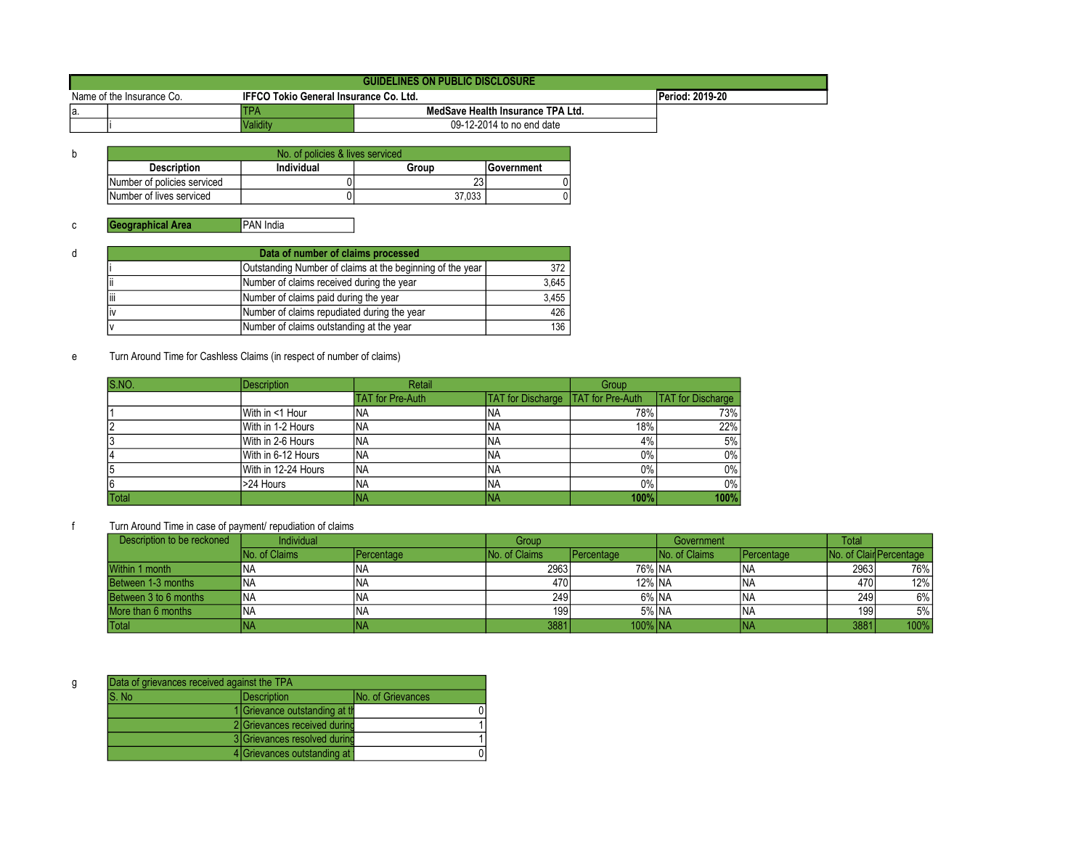|                           | GUIDELINES ON PUBLIC DISCLOSURE |                                               |                                   |                        |  |  |
|---------------------------|---------------------------------|-----------------------------------------------|-----------------------------------|------------------------|--|--|
| Name of the Insurance Co. |                                 | <b>IFFCO Tokio General Insurance Co. Ltd.</b> |                                   | <b>Period: 2019-20</b> |  |  |
| la                        |                                 | TPA                                           | MedSave Health Insurance TPA Ltd. |                        |  |  |
|                           |                                 | <b>Validity</b>                               | 09-12-2014 to no end date         |                        |  |  |

| No. of policies & lives serviced |            |        |                   |  |  |
|----------------------------------|------------|--------|-------------------|--|--|
| <b>Description</b>               | Individual | Group  | <b>Sovernment</b> |  |  |
| Number of policies serviced      |            | دے     |                   |  |  |
| Number of lives serviced         |            | 37.033 |                   |  |  |

| d | Data of number of claims processed        |                                             |       |  |  |  |
|---|-------------------------------------------|---------------------------------------------|-------|--|--|--|
|   |                                           | 372                                         |       |  |  |  |
|   | Number of claims received during the year |                                             |       |  |  |  |
|   | liii                                      | Number of claims paid during the year       | 3,455 |  |  |  |
|   | ١v                                        | Number of claims repudiated during the year | 426   |  |  |  |
|   |                                           | Number of claims outstanding at the year    | 136   |  |  |  |

# e Turn Around Time for Cashless Claims (in respect of number of claims)

| S.NO.        | <b>Description</b>  | Retail                  |                                      | Group |                          |
|--------------|---------------------|-------------------------|--------------------------------------|-------|--------------------------|
|              |                     | <b>TAT for Pre-Auth</b> | TAT for Discharge   TAT for Pre-Auth |       | <b>TAT</b> for Discharge |
|              | With in <1 Hour     | NA                      | <b>NA</b>                            | 78%   | 73%                      |
|              | With in 1-2 Hours   | ΝA                      | <b>NA</b>                            | 18%   | 22%                      |
|              | With in 2-6 Hours   | ΝA                      | <b>NA</b>                            | 4%    | 5%                       |
|              | With in 6-12 Hours  | 'NA                     | 'NA                                  | 0%    | $0\%$                    |
|              | With in 12-24 Hours | INA                     | <b>NA</b>                            | 0%    | $0\%$                    |
|              | >24 Hours           | NA                      | 'NA                                  | 0%    | $0\%$                    |
| <b>Total</b> |                     | ΝA                      | ΙNΑ                                  | 100%  | 100%                     |

| Description to be reckoned | <b>Individual</b> |                   | Group                |                     | Government           |            | <b>Total</b> |                                 |
|----------------------------|-------------------|-------------------|----------------------|---------------------|----------------------|------------|--------------|---------------------------------|
|                            | No. of Claims     | <b>Percentage</b> | <b>No. of Claims</b> | <b>I</b> Percentage | <b>No. of Claims</b> | Percentage |              | <b>INo. of Clair Percentage</b> |
| Within 1 month             |                   | INA               | 2963                 | 76% INA             |                      | INA        | 2963         | 76%                             |
| Between 1-3 months         | NA                | ina               | 470                  | 12% INA             |                      | INA        | 470          | 12%                             |
| Between 3 to 6 months      | 'NA               | INA               | 249                  | 6% NA               |                      | ΝA         | 249          | 6%                              |
| More than 6 months         | 'NA               | INA               | 199                  | 5% INA              |                      | INA        | 199          | 5%                              |
| Total                      |                   | INA               | 3881                 | 100% INA            |                      | NA.        | 3881         | 100%                            |

| g | Data of grievances received against the TPA |                                |                           |  |  |
|---|---------------------------------------------|--------------------------------|---------------------------|--|--|
|   | IS. No                                      | <i><b>IDescription</b></i>     | <b>INo. of Grievances</b> |  |  |
|   |                                             | 1 Grievance outstanding at the |                           |  |  |
|   |                                             | 2 Grievances received during   |                           |  |  |
|   |                                             | 3 Grievances resolved during   |                           |  |  |
|   |                                             | 4 Grievances outstanding at    |                           |  |  |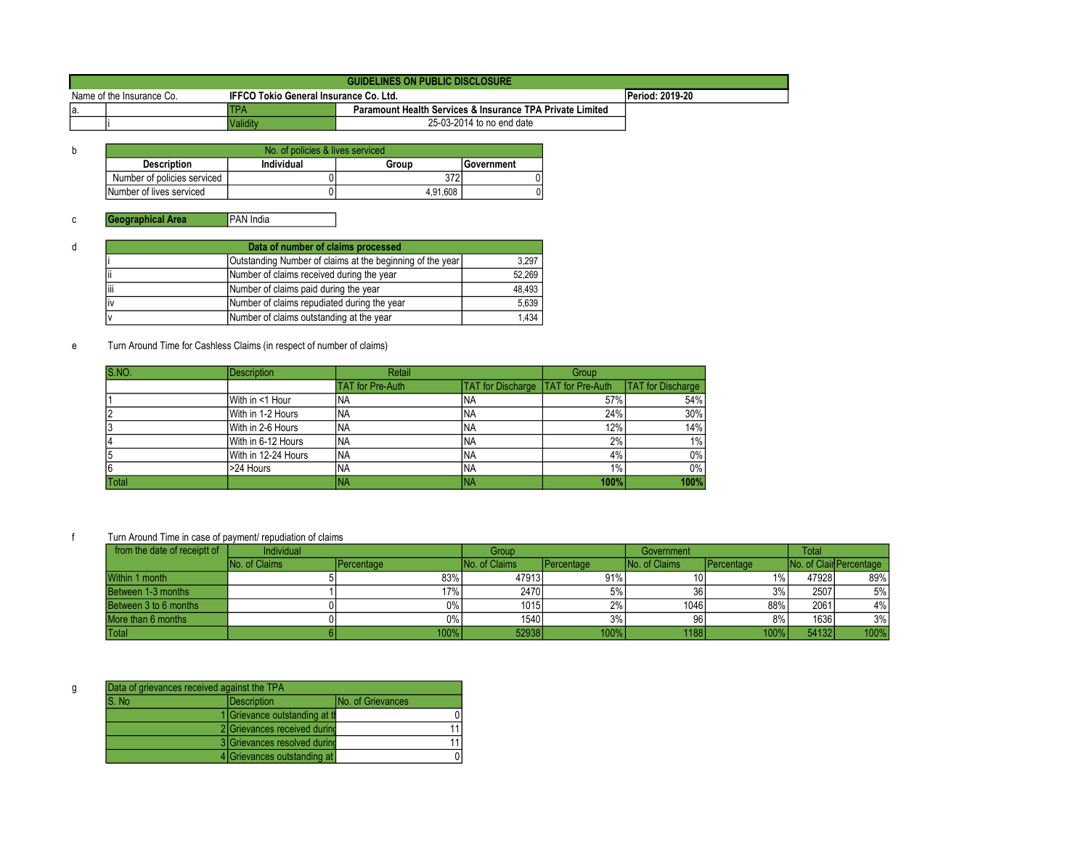|                           | <b>GUIDELINES ON PUBLIC DISCLOSURE</b> |                                               |                                                                      |                 |  |  |
|---------------------------|----------------------------------------|-----------------------------------------------|----------------------------------------------------------------------|-----------------|--|--|
| Name of the Insurance Co. |                                        | <b>IFFCO Tokio General Insurance Co. Ltd.</b> |                                                                      | Period: 2019-20 |  |  |
| la.                       |                                        | TPA                                           | <b>Paramount Health Services &amp; Insurance TPA Private Limited</b> |                 |  |  |
|                           |                                        | Validity                                      | 25-03-2014 to no end date                                            |                 |  |  |

| b | No. of policies & lives serviced |            |          |                   |  |  |
|---|----------------------------------|------------|----------|-------------------|--|--|
|   | <b>Description</b>               | Individual | Group    | <b>Government</b> |  |  |
|   | Number of policies serviced      |            | 372      |                   |  |  |
|   | Number of lives serviced         |            | 4.91.608 |                   |  |  |

| d | Data of number of claims processed                 |                                                           |        |  |  |  |  |
|---|----------------------------------------------------|-----------------------------------------------------------|--------|--|--|--|--|
|   |                                                    | Outstanding Number of claims at the beginning of the year |        |  |  |  |  |
|   | Number of claims received during the year<br>Ш     |                                                           |        |  |  |  |  |
|   | liii                                               | Number of claims paid during the year                     | 48,493 |  |  |  |  |
|   | Number of claims repudiated during the year<br>liv |                                                           | 5,639  |  |  |  |  |
|   |                                                    | Number of claims outstanding at the year                  | 1,434  |  |  |  |  |

e Turn Around Time for Cashless Claims (in respect of number of claims)

| S.NO. | <b>Description</b>  | Retail                  |                                           | Group |                          |
|-------|---------------------|-------------------------|-------------------------------------------|-------|--------------------------|
|       |                     | <b>TAT</b> for Pre-Auth | <b>TAT for Discharge TAT for Pre-Auth</b> |       | <b>TAT</b> for Discharge |
|       | With in <1 Hour     | 'NA                     | INA                                       | 57%   | 54%                      |
|       | With in 1-2 Hours   | 'NA                     | 'NA                                       | 24%   | $30\%$                   |
|       | With in 2-6 Hours   | 'NA                     | 'NA                                       | 12%   | 14%                      |
|       | With in 6-12 Hours  | <b>NA</b>               | <b>NA</b>                                 | 2%1   | $1\%$                    |
|       | With in 12-24 Hours | INA.                    | INA                                       | 4%    | $0\%$                    |
|       | >24 Hours           | 'NA                     | INA                                       | 1%    | $0\%$                    |
| Total |                     | <b>NA</b>               | <b>INA</b>                                | 100%  | 100%                     |

f Turn Around Time in case of payment/ repudiation of claims

| from the date of receiptt of | Individual           |            | Group                |                    |                       | Government |       | <b>Total</b>            |  |
|------------------------------|----------------------|------------|----------------------|--------------------|-----------------------|------------|-------|-------------------------|--|
|                              | <b>No. of Claims</b> | Percentage | <b>No. of Claims</b> | <b>IPercentage</b> | <b>INo. of Claims</b> | Percentage |       | No. of Clair Percentage |  |
| Within 1 month               |                      | 83%        | 47913                | 91%                | 10 I                  | $1\%$      | 47928 | 89%                     |  |
| Between 1-3 months           |                      | 17%        | 2470                 | 5%                 | 36                    | 3%         | 2507  | 5%                      |  |
| Between 3 to 6 months        |                      | 0%         | 1015                 | 2%                 | 1046                  | 88%        | 2061  | 4%                      |  |
| More than 6 months           |                      | 0%         | 1540                 | 3%                 | 96                    | 8%         | 1636  | 3%                      |  |
| Total                        |                      | 100%       | 52938                | 100%               | 1188                  | 100%       | 54132 | 100%                    |  |

| Data of grievances received against the TPA |                                |                          |  |  |
|---------------------------------------------|--------------------------------|--------------------------|--|--|
| S. No                                       | Description                    | <b>No. of Grievances</b> |  |  |
|                                             | 1 Grievance outstanding at the |                          |  |  |
|                                             | 2 Grievances received during   |                          |  |  |
|                                             | 3 Grievances resolved during   |                          |  |  |
|                                             | 4 Grievances outstanding at    |                          |  |  |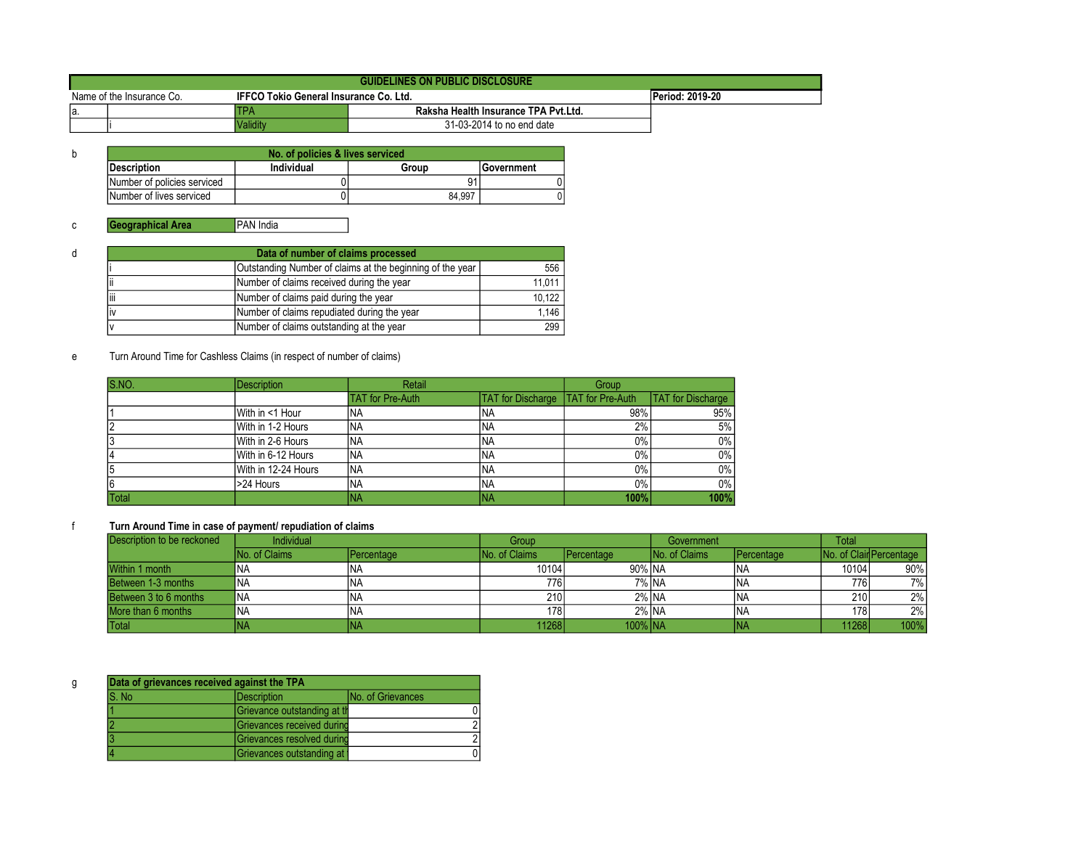|                           | GUIDELINES ON PUBLIC DISCLOSURE |                                               |                                      |                 |  |  |
|---------------------------|---------------------------------|-----------------------------------------------|--------------------------------------|-----------------|--|--|
| Name of the Insurance Co. |                                 | <b>IFFCO Tokio General Insurance Co. Ltd.</b> |                                      | Period: 2019-20 |  |  |
| la                        |                                 |                                               | Raksha Health Insurance TPA Pvt.Ltd. |                 |  |  |
|                           |                                 | Validitv                                      | 31-03-2014 to no end date            |                 |  |  |

| b | No. of policies & lives serviced |            |        |                   |  |  |
|---|----------------------------------|------------|--------|-------------------|--|--|
|   | <b>IDescription</b>              | Individual | Group  | <b>Government</b> |  |  |
|   | Number of policies serviced      |            |        |                   |  |  |
|   | Number of lives serviced         |            | 84.997 |                   |  |  |

| d | Data of number of claims processed |                                                           |        |  |  |  |
|---|------------------------------------|-----------------------------------------------------------|--------|--|--|--|
|   |                                    | Outstanding Number of claims at the beginning of the year | 556    |  |  |  |
|   |                                    | Number of claims received during the year                 | 11,011 |  |  |  |
|   | liii                               | Number of claims paid during the year                     | 10.122 |  |  |  |
|   |                                    | Number of claims repudiated during the year               | 1.146  |  |  |  |
|   |                                    | Number of claims outstanding at the year                  | 299    |  |  |  |

# e Turn Around Time for Cashless Claims (in respect of number of claims)

| S.NO.        | <b>Description</b>  | Retail                  |                                             | Group |                          |
|--------------|---------------------|-------------------------|---------------------------------------------|-------|--------------------------|
|              |                     | <b>TAT for Pre-Auth</b> | <b>TAT for Discharge   TAT for Pre-Auth</b> |       | <b>TAT</b> for Discharge |
|              | With in <1 Hour     | 'NA                     | <b>INA</b>                                  | 98%   | 95%                      |
|              | With in 1-2 Hours   | 'NA                     | <b>INA</b>                                  | 2%    | 5%                       |
|              | With in 2-6 Hours   | <b>NA</b>               | <b>INA</b>                                  | $0\%$ | $0\%$                    |
|              | With in 6-12 Hours  | <b>NA</b>               | <b>INA</b>                                  | $0\%$ | $0\%$                    |
|              | With in 12-24 Hours | <sup>I</sup> NA         | <b>INA</b>                                  | $0\%$ | 0%                       |
|              | >24 Hours           | INA                     | INA                                         | $0\%$ | $0\%$                    |
| <b>Total</b> |                     | ΝA                      | INA                                         | 100%  | 100%                     |

| Description to be reckoned | <b>Individual</b> |            | Group                |            | Government           |            | <b>Total</b> |                         |
|----------------------------|-------------------|------------|----------------------|------------|----------------------|------------|--------------|-------------------------|
|                            | INo. of Claims    | Percentage | <b>No. of Claims</b> | Percentage | <b>No. of Claims</b> | Percentage |              | No. of Clair Percentage |
| Within 1 month             | ΝA                |            | 10104                | 90% NA     |                      |            | 10104        | 90%                     |
| Between 1-3 months         | <b>NA</b>         | 'NA        | 776                  | 7% NA      |                      | 'NA        | 776          | 7%1                     |
| Between 3 to 6 months      | <b>NA</b>         | <b>NA</b>  | 210                  | 2% INA     |                      | 'NA        | 210          | 2%1                     |
| More than 6 months         | 'na               | 'NA        | 178                  | 2% NA      |                      | 'NA        | 178          | $2\%$                   |
| Total                      | ΝA                |            | 11268l               | 100% NA    |                      | ΝA         | 11268        | 100%                    |

| Data of grievances received against the TPA |                             |                           |  |  |  |
|---------------------------------------------|-----------------------------|---------------------------|--|--|--|
| S. No<br><b>IDescription</b>                |                             | <b>INo. of Grievances</b> |  |  |  |
|                                             | Grievance outstanding at th |                           |  |  |  |
|                                             | Grievances received durind  |                           |  |  |  |
|                                             | Grievances resolved durind  | $\mathcal{D}_{1}$         |  |  |  |
|                                             | Grievances outstanding at   |                           |  |  |  |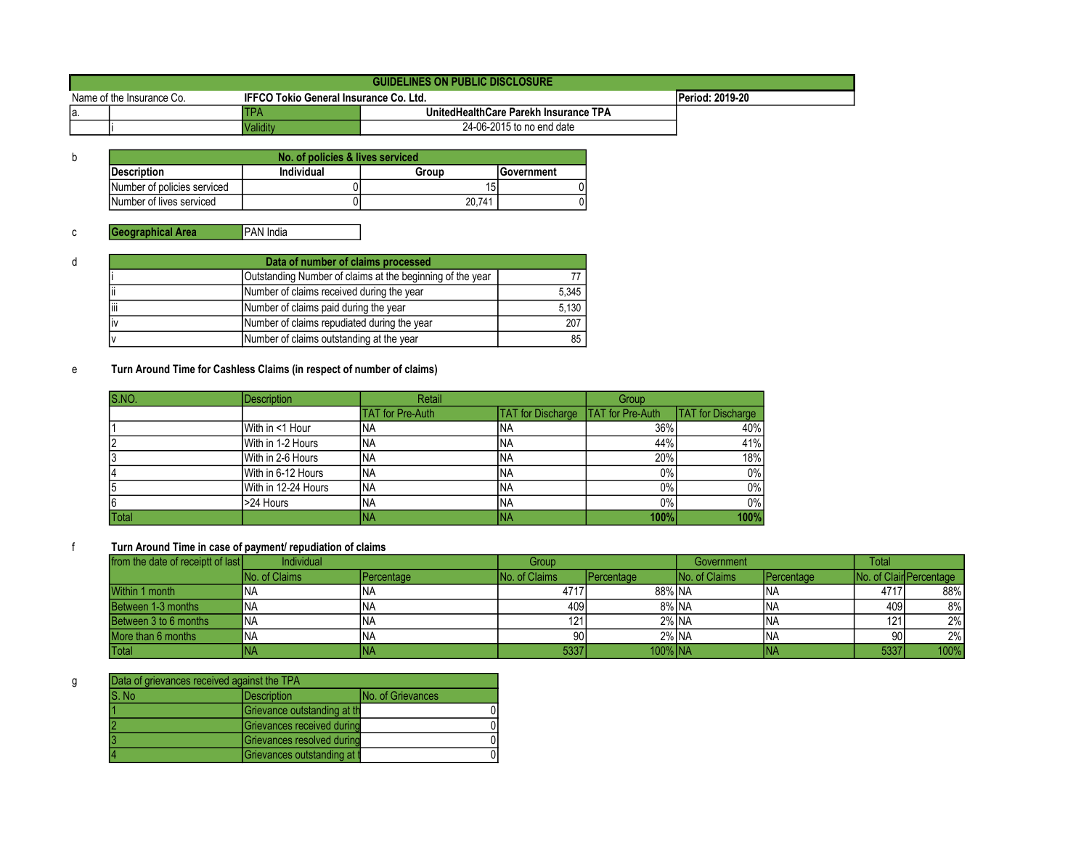|                           | <b>GUIDELINES ON PUBLIC DISCLOSURE</b> |                                        |                                       |                 |  |  |  |
|---------------------------|----------------------------------------|----------------------------------------|---------------------------------------|-----------------|--|--|--|
| Name of the Insurance Co. |                                        | IFFCO Tokio General Insurance Co. Ltd. |                                       | Period: 2019-20 |  |  |  |
| la.                       |                                        | TPA                                    | UnitedHealthCare Parekh Insurance TPA |                 |  |  |  |
|                           |                                        | Validitv                               | 24-06-2015 to no end date             |                 |  |  |  |

| No. of policies & lives serviced |            |        |                    |  |  |  |
|----------------------------------|------------|--------|--------------------|--|--|--|
| <b>IDescription</b>              | Individual | Group  | <b>IGovernment</b> |  |  |  |
| Number of policies serviced      |            | 15     |                    |  |  |  |
| Number of lives serviced         |            | 20.741 |                    |  |  |  |

| d | Data of number of claims processed |                                             |                    |  |  |  |  |
|---|------------------------------------|---------------------------------------------|--------------------|--|--|--|--|
|   |                                    |                                             |                    |  |  |  |  |
|   | Ϊi                                 | Number of claims received during the year   | 5,345              |  |  |  |  |
|   | liii                               | Number of claims paid during the year       | $\overline{5,130}$ |  |  |  |  |
|   | liv                                | Number of claims repudiated during the year | 207                |  |  |  |  |
|   |                                    | Number of claims outstanding at the year    | 85                 |  |  |  |  |

## e Turn Around Time for Cashless Claims (in respect of number of claims)

| S.NO.        | <b>Description</b>  | Retail                  |                          | Group                    |                          |
|--------------|---------------------|-------------------------|--------------------------|--------------------------|--------------------------|
|              |                     | <b>TAT</b> for Pre-Auth | <b>TAT</b> for Discharge | <b>ITAT for Pre-Auth</b> | <b>TAT</b> for Discharge |
|              | With in <1 Hour     | 'NA                     | INA                      | 36%                      | 40%                      |
|              | With in 1-2 Hours   | <b>NA</b>               | INA                      | 44%                      | 41%                      |
|              | With in 2-6 Hours   | <b>NA</b>               | INA                      | 20%                      | 18%                      |
|              | With in 6-12 Hours  | NA                      | INA                      | $0\%$                    | 0%                       |
|              | With in 12-24 Hours | <b>NA</b>               | INA                      | $0\%$                    | $0\%$                    |
| 6            | >24 Hours           | <b>NA</b>               | INA                      | $0\%$                    | 0%                       |
| <b>Total</b> |                     | INA                     | INA                      | 100%                     | 100%                     |

| from the date of receiptt of last | Individual            |                     | Group                 |                    | Government            |                     | Total |                         |
|-----------------------------------|-----------------------|---------------------|-----------------------|--------------------|-----------------------|---------------------|-------|-------------------------|
|                                   | <b>INo. of Claims</b> | <b>I</b> Percentage | <b>INo. of Claims</b> | <b>IPercentage</b> | <b>INo. of Claims</b> | <b>I</b> Percentage |       | No. of Clair Percentage |
| Within 1 month                    | INA                   | INA                 | 4717                  | 88% NA             |                       | 'NA                 | 4717  | 88%                     |
| Between 1-3 months                | <b>INA</b>            | <b>INA</b>          | 409                   | 8% NA              |                       |                     | 409   | 8%                      |
| Between 3 to 6 months             | INA                   | <b>INA</b>          | 121                   | 2% NA              |                       | 'NA                 | 121.  | 2%                      |
| More than 6 months                | <b>INA</b>            | <b>INA</b>          | 90                    | 2% NA              |                       | INA                 | 90    | 2%                      |
| Total                             | INA                   | ina                 | 5337                  | 100% INA           |                       | NΑ                  | 5337  | 100%                    |

| g |        | Data of grievances received against the TPA |                           |  |  |  |  |
|---|--------|---------------------------------------------|---------------------------|--|--|--|--|
|   | IS. No | <b>IDescription</b>                         | <b>INo. of Grievances</b> |  |  |  |  |
|   |        | Grievance outstanding at th                 |                           |  |  |  |  |
|   |        | Grievances received during                  |                           |  |  |  |  |
|   |        | Grievances resolved during                  |                           |  |  |  |  |
|   |        | Grievances outstanding at t                 |                           |  |  |  |  |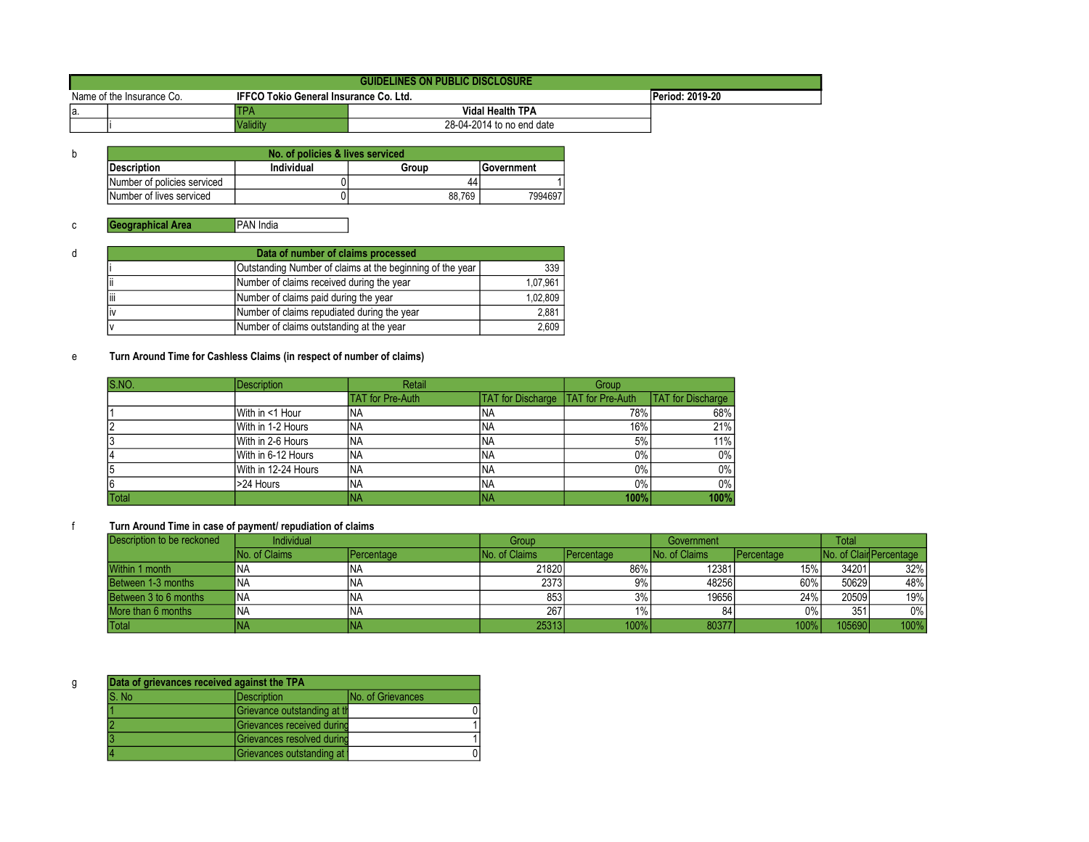|                           | GUIDELINES ON PUBLIC DISCLOSURE |          |                                               |  |  |  |  |
|---------------------------|---------------------------------|----------|-----------------------------------------------|--|--|--|--|
| Name of the Insurance Co. |                                 |          | <b>IFFCO Tokio General Insurance Co. Ltd.</b> |  |  |  |  |
| la                        |                                 |          | Vidal Health TPA                              |  |  |  |  |
|                           |                                 | √aliditv | 28-04-2014 to no end date                     |  |  |  |  |

| b | No. of policies & lives serviced |            |        |                   |  |  |  |
|---|----------------------------------|------------|--------|-------------------|--|--|--|
|   | <b>IDescription</b>              | Individual | Group  | <b>Government</b> |  |  |  |
|   | Number of policies serviced      |            | 44     |                   |  |  |  |
|   | Number of lives serviced         |            | 88.769 | 7994697           |  |  |  |

|  | Data of number of claims processed                                                                  |     |  |  |  |  |
|--|-----------------------------------------------------------------------------------------------------|-----|--|--|--|--|
|  |                                                                                                     | 339 |  |  |  |  |
|  | Number of claims received during the year                                                           |     |  |  |  |  |
|  | liii<br>Number of claims paid during the year<br>Number of claims repudiated during the year<br>liv |     |  |  |  |  |
|  |                                                                                                     |     |  |  |  |  |
|  | Number of claims outstanding at the year                                                            |     |  |  |  |  |

## e Turn Around Time for Cashless Claims (in respect of number of claims)

| S.NO.        | <b>Description</b>  | Retail                  |                                             | Group |                          |
|--------------|---------------------|-------------------------|---------------------------------------------|-------|--------------------------|
|              |                     | <b>TAT for Pre-Auth</b> | <b>TAT for Discharge   TAT for Pre-Auth</b> |       | <b>TAT</b> for Discharge |
|              | With in <1 Hour     | 'NA                     | <b>INA</b>                                  | 78%   | 68%                      |
|              | With in 1-2 Hours   | 'NA                     | <b>INA</b>                                  | 16%   | 21%                      |
|              | With in 2-6 Hours   | <b>NA</b>               | <b>INA</b>                                  | 5%    | 11%                      |
|              | With in 6-12 Hours  | <b>NA</b>               | <b>INA</b>                                  | $0\%$ | $0\%$                    |
|              | With in 12-24 Hours | <sup>I</sup> NA         | <b>INA</b>                                  | $0\%$ | 0%                       |
|              | >24 Hours           | INA                     | INA                                         | $0\%$ | $0\%$                    |
| <b>Total</b> |                     | NА                      | INA                                         | 100%  | 100%                     |

| Description to be reckoned | <b>Individual</b> |            | Group                | Government         |                       |            | <b>Total</b> |                         |
|----------------------------|-------------------|------------|----------------------|--------------------|-----------------------|------------|--------------|-------------------------|
|                            | INo. of Claims    | Percentage | <b>No. of Claims</b> | <b>IPercentage</b> | <b>INo. of Claims</b> | Percentage |              | No. of Clair Percentage |
| Within 1 month             | INA               | INA        | 21820                | 86%                | 12381                 | 15%        | 34201        | 32%                     |
| Between 1-3 months         | INA               | INA        | 2373                 | 9%                 | 48256                 | 60%        | 50629        | 48%                     |
| Between 3 to 6 months      | <b>INA</b>        | <b>INA</b> | 853                  | 3%                 | 19656                 | 24%        | 20509        | 19%                     |
| More than 6 months         | 'NA               | <b>INA</b> | 267                  | $1\%$              | 84                    | 0%         | 351          | $0\%$                   |
| <b>Total</b>               | INA               | <b>INA</b> | 25313                | 100%               | 80377                 | 100%       | 105690       | 100%                    |

| g | Data of grievances received against the TPA |                             |                           |  |  |  |
|---|---------------------------------------------|-----------------------------|---------------------------|--|--|--|
|   | IS. No                                      | Description                 | <b>INo. of Grievances</b> |  |  |  |
|   |                                             | Grievance outstanding at th |                           |  |  |  |
|   |                                             | Grievances received durind  |                           |  |  |  |
|   |                                             | Grievances resolved durind  |                           |  |  |  |
|   |                                             | Grievances outstanding at   |                           |  |  |  |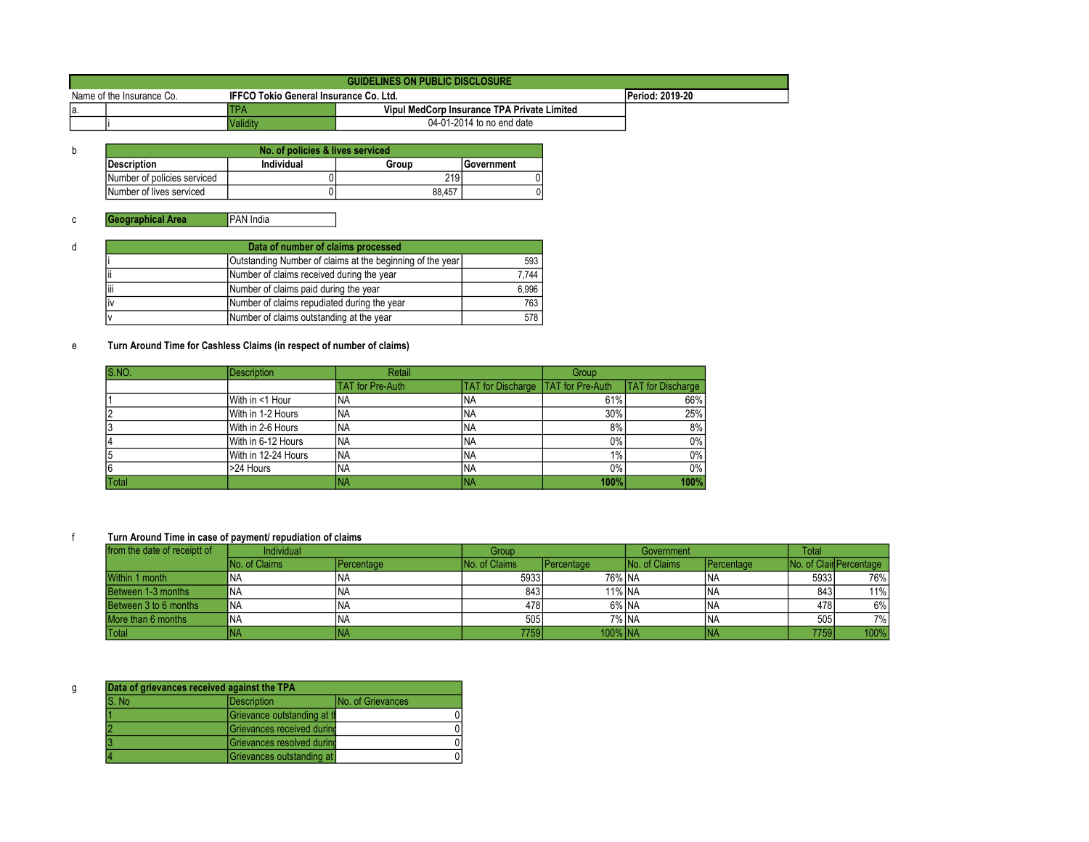|     | GUIDELINES ON PUBLIC DISCLOSURE |                                               |                                             |                 |  |  |  |
|-----|---------------------------------|-----------------------------------------------|---------------------------------------------|-----------------|--|--|--|
|     | Name of the Insurance Co.       | <b>IFFCO Tokio General Insurance Co. Ltd.</b> |                                             | Period: 2019-20 |  |  |  |
| la. |                                 | ТРА                                           | Vipul MedCorp Insurance TPA Private Limited |                 |  |  |  |
|     |                                 | Validity                                      | 04-01-2014 to no end date                   |                 |  |  |  |

| b | No. of policies & lives serviced |            |        |                   |  |  |  |
|---|----------------------------------|------------|--------|-------------------|--|--|--|
|   | <b>Description</b>               | Individual | Group  | <b>Government</b> |  |  |  |
|   | Number of policies serviced      |            | 219 I  |                   |  |  |  |
|   | Number of lives serviced         |            | 88.457 |                   |  |  |  |

| d | Data of number of claims processed                        |                                             |       |  |  |  |
|---|-----------------------------------------------------------|---------------------------------------------|-------|--|--|--|
|   | Outstanding Number of claims at the beginning of the year |                                             |       |  |  |  |
|   |                                                           | Number of claims received during the year   | 7.744 |  |  |  |
|   | liii                                                      | Number of claims paid during the year       | 6,996 |  |  |  |
|   | IV                                                        | Number of claims repudiated during the year | 763   |  |  |  |
|   |                                                           | Number of claims outstanding at the year    | 578   |  |  |  |

#### e Turn Around Time for Cashless Claims (in respect of number of claims)

| <b>S.NO.</b> | <b>Description</b>  | Retail                  |                                             | Group |                          |
|--------------|---------------------|-------------------------|---------------------------------------------|-------|--------------------------|
|              |                     | <b>TAT</b> for Pre-Auth | <b>TAT for Discharge   TAT for Pre-Auth</b> |       | <b>TAT</b> for Discharge |
|              | With in <1 Hour     | 'NA                     | <b>NA</b>                                   | 61%   | 66%                      |
|              | With in 1-2 Hours   | INA                     | <sup>I</sup> NA                             | 30%   | 25%                      |
|              | With in 2-6 Hours   | <b>NA</b>               | INA.                                        | 8%    | 8%                       |
|              | With in 6-12 Hours  | <b>NA</b>               | INA.                                        | 0%    | $0\%$                    |
|              | With in 12-24 Hours | INA.                    | <b>NA</b>                                   | $1\%$ | $0\%$                    |
| 6            | >24 Hours           | INA                     | <b>NA</b>                                   | 0%    | $0\%$                    |
| Total        |                     | <b>NA</b>               | <b>INA</b>                                  | 100%  | 100%                     |

| from the date of receiptt of | <b>Individual</b>    |            | Group                |                     | Government           |            | <b>Total</b> |                         |
|------------------------------|----------------------|------------|----------------------|---------------------|----------------------|------------|--------------|-------------------------|
|                              | <b>No. of Claims</b> | Percentage | <b>No. of Claims</b> | <b>I</b> Percentage | <b>No. of Claims</b> | Percentage |              | No. of Clair Percentage |
| Within 1 month               | NА                   | INA        | 5933                 | 76% NA              |                      | <b>INA</b> | 59331        | 76%                     |
| Between 1-3 months           | ΝA                   | INA        | 8431                 | 11% NA              |                      | <b>INA</b> | 843          | 11%                     |
| Between 3 to 6 months        | <b>NA</b>            | İNA        | 478                  | 6% NA               |                      | <b>INA</b> | 478          | 6%                      |
| More than 6 months           | ΝA                   | İNA        | 505                  | 7% NA               |                      | <b>INA</b> | 5051         | 7%                      |
| Total                        | <b>NA</b>            | ina        | 7759 l               | 100% INA            |                      | INA        | 7759         | 100%                    |

| g | Data of grievances received against the TPA |                              |                           |  |  |  |
|---|---------------------------------------------|------------------------------|---------------------------|--|--|--|
|   | S. No                                       | Description                  | <b>INo. of Grievances</b> |  |  |  |
|   |                                             | Grievance outstanding at the |                           |  |  |  |
|   |                                             | Grievances received durind   |                           |  |  |  |
|   |                                             | Grievances resolved durind   |                           |  |  |  |
|   |                                             | Grievances outstanding at    |                           |  |  |  |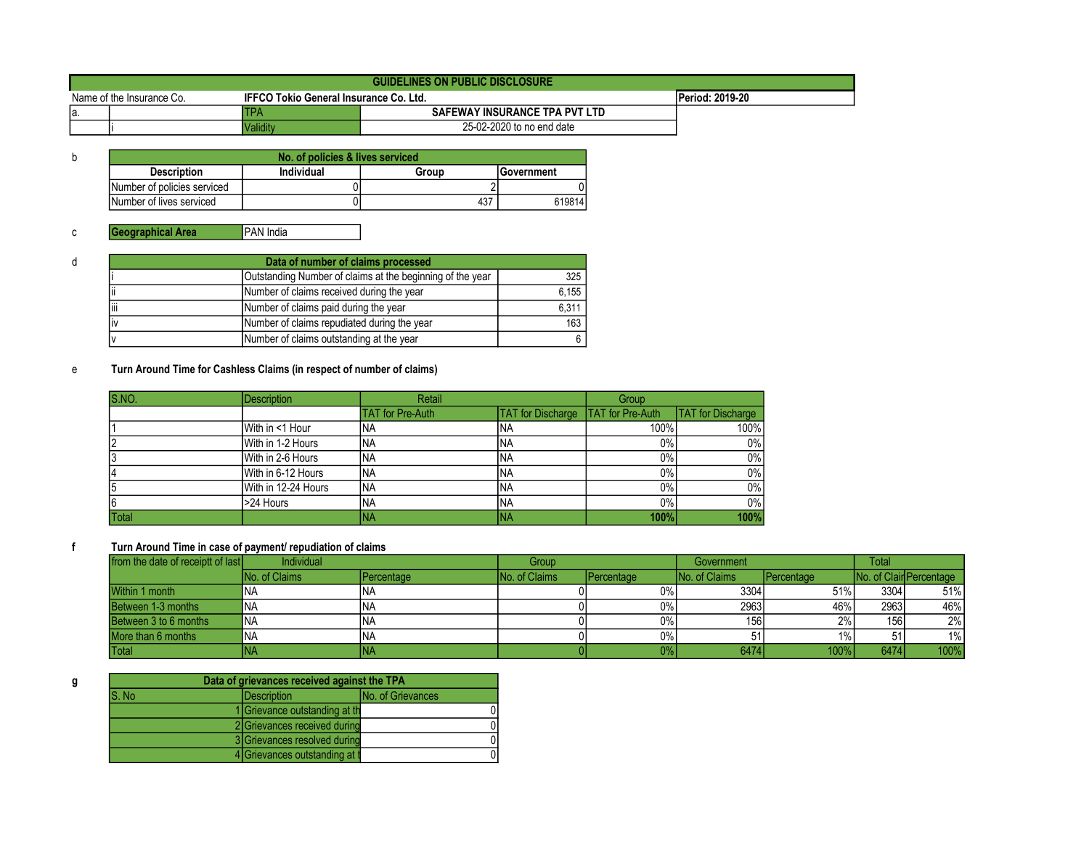|                           | <b>GUIDELINES ON PUBLIC DISCLOSURE</b> |                                               |                               |                        |  |  |  |
|---------------------------|----------------------------------------|-----------------------------------------------|-------------------------------|------------------------|--|--|--|
| Name of the Insurance Co. |                                        | <b>IFFCO Tokio General Insurance Co. Ltd.</b> |                               | <b>Period: 2019-20</b> |  |  |  |
| la.                       |                                        |                                               | SAFEWAY INSURANCE TPA PVT LTD |                        |  |  |  |
|                           |                                        | l Validitv                                    | 25-02-2020 to no end date     |                        |  |  |  |

| No. of policies & lives serviced |            |       |                    |  |  |  |
|----------------------------------|------------|-------|--------------------|--|--|--|
| <b>Description</b>               | Individual | Group | <b>IGovernment</b> |  |  |  |
| Number of policies serviced      |            |       |                    |  |  |  |
| Number of lives serviced         |            | 437   | 619814             |  |  |  |

| d    | Data of number of claims processed                        |                                             |       |  |  |  |
|------|-----------------------------------------------------------|---------------------------------------------|-------|--|--|--|
|      | Outstanding Number of claims at the beginning of the year |                                             |       |  |  |  |
|      | Ϊi                                                        | Number of claims received during the year   | 6,155 |  |  |  |
| liii |                                                           | Number of claims paid during the year       | 6,311 |  |  |  |
|      | liv                                                       | Number of claims repudiated during the year | 163   |  |  |  |
|      |                                                           | Number of claims outstanding at the year    |       |  |  |  |

## e Turn Around Time for Cashless Claims (in respect of number of claims)

| S.NO.        | <b>Description</b>  | Retail                  |                          | Group                   |                          |
|--------------|---------------------|-------------------------|--------------------------|-------------------------|--------------------------|
|              |                     | <b>TAT</b> for Pre-Auth | <b>TAT</b> for Discharge | <b>TAT</b> for Pre-Auth | <b>TAT</b> for Discharge |
|              | With in <1 Hour     | <b>NA</b>               | INA                      | 100%                    | 100%                     |
|              | With in 1-2 Hours   | <b>INA</b>              | INA                      | $0\%$                   | $0\%$                    |
|              | With in 2-6 Hours   | <b>INA</b>              | INA                      | $0\%$                   | $0\%$                    |
|              | With in 6-12 Hours  | <b>INA</b>              | INA                      | 0%                      | $0\%$                    |
|              | With in 12-24 Hours | <b>NA</b>               | INA                      | 0%                      | $0\%$                    |
| 6            | >24 Hours           | <b>NA</b>               | INA                      | $0\%$                   | $0\%$                    |
| <b>Total</b> |                     | INA                     | INA                      | 100%                    | 100%                     |

#### f Turn Around Time in case of payment/ repudiation of claims

| from the date of receiptt of last | <b>Individual</b>    |                    | Group                 |                     |                      | Government |      | Total                   |  |
|-----------------------------------|----------------------|--------------------|-----------------------|---------------------|----------------------|------------|------|-------------------------|--|
|                                   | <b>No. of Claims</b> | <b>IPercentage</b> | <b>INo. of Claims</b> | <b>I</b> Percentage | <b>No. of Claims</b> | Percentage |      | No. of Clair Percentage |  |
| Within 1 month                    | ΙNΑ                  | INA                |                       | $0\%$               | 3304                 | 51%        | 3304 | 51%                     |  |
| Between 1-3 months                | <b>INA</b>           | <b>INA</b>         |                       | 0%                  | 2963                 | 46%        | 2963 | 46%                     |  |
| Between 3 to 6 months             | <b>INA</b>           | <b>INA</b>         |                       | 0%                  | 156                  | 2%         | 1561 | 2%                      |  |
| More than 6 months                | <b>INA</b>           | .ina               |                       | 0%                  |                      | $1\%$      |      | $1\%$                   |  |
| Total                             | ΙNΑ                  | INA                |                       | 0%                  | 6474                 | 100%       | 6474 | 100%                    |  |

| Data of grievances received against the TPA |                                         |                                |  |  |  |
|---------------------------------------------|-----------------------------------------|--------------------------------|--|--|--|
| S. No                                       | <b>No. of Grievances</b><br>Description |                                |  |  |  |
|                                             |                                         | 1 Grievance outstanding at the |  |  |  |
|                                             |                                         | 2 Grievances received during   |  |  |  |
|                                             |                                         | 3 Grievances resolved during   |  |  |  |
|                                             |                                         | 4 Grievances outstanding at t  |  |  |  |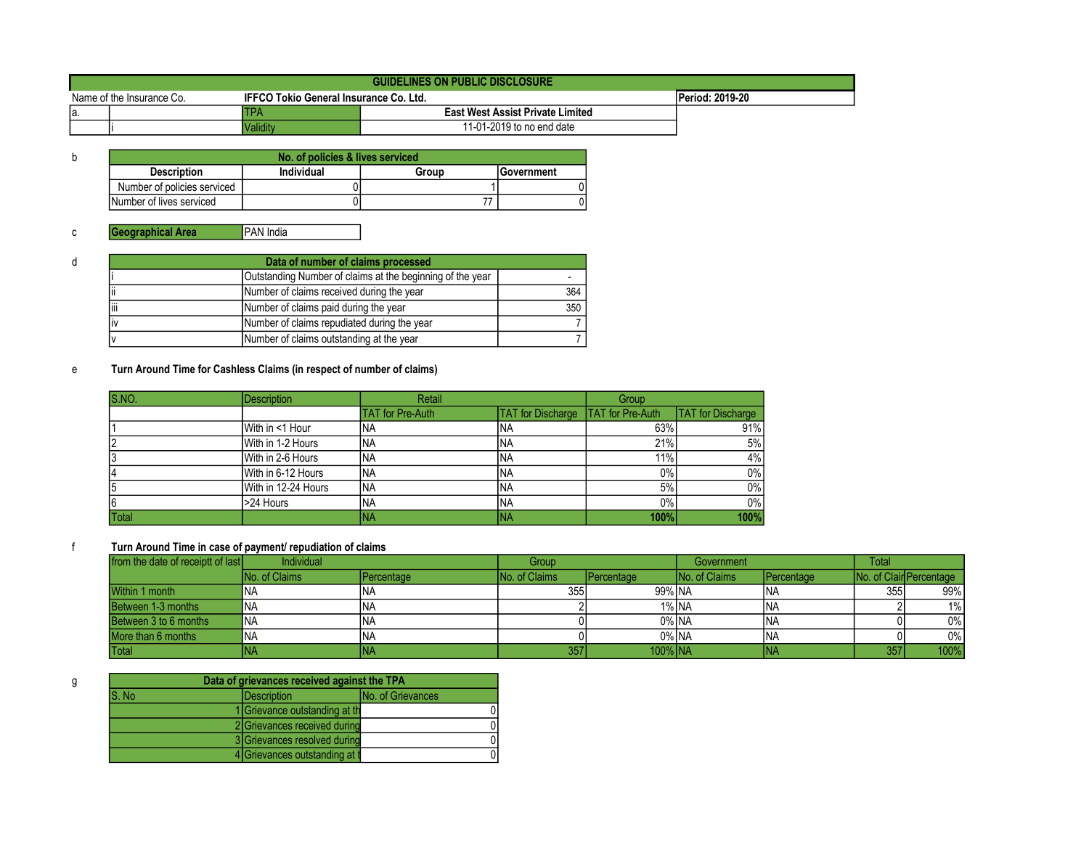|                           | GUIDELINES ON PUBLIC DISCLOSURE |                                               |                                         |                 |  |  |  |
|---------------------------|---------------------------------|-----------------------------------------------|-----------------------------------------|-----------------|--|--|--|
| Name of the Insurance Co. |                                 | <b>IFFCO Tokio General Insurance Co. Ltd.</b> |                                         | Period: 2019-20 |  |  |  |
| la.                       |                                 | TPA                                           | <b>East West Assist Private Limited</b> |                 |  |  |  |
|                           |                                 | Validitv                                      | 11-01-2019 to no end date               |                 |  |  |  |

| No. of policies & lives serviced |            |       |                    |  |  |
|----------------------------------|------------|-------|--------------------|--|--|
| <b>Description</b>               | Individual | Group | <b>IGovernment</b> |  |  |
| Number of policies serviced      |            |       |                    |  |  |
| Number of lives serviced         |            |       |                    |  |  |

| d | Data of number of claims processed                        |                                             |     |  |  |  |
|---|-----------------------------------------------------------|---------------------------------------------|-----|--|--|--|
|   | Outstanding Number of claims at the beginning of the year |                                             |     |  |  |  |
|   | Ϊi                                                        | Number of claims received during the year   | 364 |  |  |  |
|   | liii                                                      | Number of claims paid during the year       | 350 |  |  |  |
|   | liv                                                       | Number of claims repudiated during the year |     |  |  |  |
|   |                                                           | Number of claims outstanding at the year    |     |  |  |  |

## e Turn Around Time for Cashless Claims (in respect of number of claims)

| S.NO.        | <b>Description</b>  | Retail                  |                          | Group                   |                          |
|--------------|---------------------|-------------------------|--------------------------|-------------------------|--------------------------|
|              |                     | <b>TAT</b> for Pre-Auth | <b>TAT</b> for Discharge | <b>TAT</b> for Pre-Auth | <b>TAT</b> for Discharge |
|              | With in <1 Hour     | <b>NA</b>               | INA                      | 63%                     | 91%                      |
|              | With in 1-2 Hours   | <b>INA</b>              | INA                      | 21%                     | 5%                       |
|              | With in 2-6 Hours   | <b>INA</b>              | INA                      | 11%                     | 4%                       |
|              | With in 6-12 Hours  | <b>INA</b>              | INA                      | 0%                      | $0\%$                    |
|              | With in 12-24 Hours | <b>NA</b>               | INA                      | 5%                      | $0\%$                    |
| 6            | >24 Hours           | <b>NA</b>               | INA                      | $0\%$                   | $0\%$                    |
| <b>Total</b> |                     | INA                     | INA                      | 100%                    | 100%                     |

#### f Turn Around Time in case of payment/ repudiation of claims

| from the date of receiptt of last | Individual           |                    | Group                 |                    | Government           |            | <b>Total</b> |                         |
|-----------------------------------|----------------------|--------------------|-----------------------|--------------------|----------------------|------------|--------------|-------------------------|
|                                   | <b>No. of Claims</b> | <b>IPercentage</b> | <b>INo. of Claims</b> | <b>IPercentage</b> | <b>No. of Claims</b> | Percentage |              | No. of Clair Percentage |
| Within 1 month                    | ΝA                   | INA                | 355 l                 | 99% NA             |                      | <b>INA</b> | 355 l        | 99%                     |
| Between 1-3 months                | <b>NA</b>            | <b>INA</b>         |                       | 1% NA              |                      | <b>INA</b> |              | 1%                      |
| Between 3 to 6 months             | <b>NA</b>            | <b>INA</b>         |                       | 0% NA              |                      | <b>INA</b> |              | $0\%$                   |
| More than 6 months                | <b>NA</b>            | <b>INA</b>         |                       | 0% NA              |                      | <b>INA</b> |              | $0\%$                   |
| Total                             | ΙNΑ                  | INA                | 357                   | 100% NA            |                      | INA        | 357          | 100%                    |

|       | Data of grievances received against the TPA |  |  |  |  |  |
|-------|---------------------------------------------|--|--|--|--|--|
| S. No | No. of Grievances<br><b>IDescription</b>    |  |  |  |  |  |
|       | 1 Grievance outstanding at the              |  |  |  |  |  |
|       | 2 Grievances received during                |  |  |  |  |  |
|       | 3 Grievances resolved during                |  |  |  |  |  |
|       | 4 Grievances outstanding at t               |  |  |  |  |  |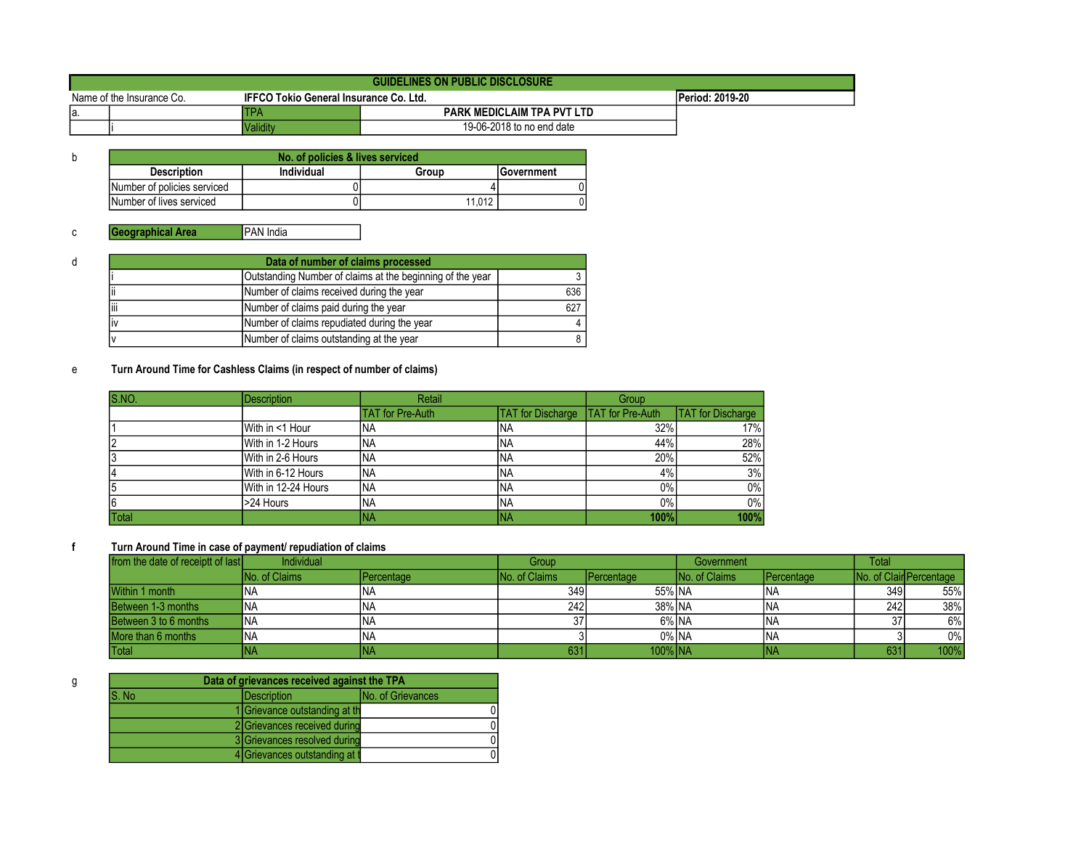|                           | GUIDELINES ON PUBLIC DISCLOSURE |                                               |                                   |                        |  |  |  |
|---------------------------|---------------------------------|-----------------------------------------------|-----------------------------------|------------------------|--|--|--|
| Name of the Insurance Co. |                                 | <b>IFFCO Tokio General Insurance Co. Ltd.</b> |                                   | <b>Period: 2019-20</b> |  |  |  |
| la.                       |                                 | TPA                                           | <b>PARK MEDICLAIM TPA PVT LTD</b> |                        |  |  |  |
|                           |                                 | Validitv                                      | 19-06-2018 to no end date         |                        |  |  |  |

| No. of policies & lives serviced |            |        |                    |  |  |  |
|----------------------------------|------------|--------|--------------------|--|--|--|
| <b>Description</b>               | Individual | Group  | <b>IGovernment</b> |  |  |  |
| Number of policies serviced      |            |        |                    |  |  |  |
| Number of lives serviced         |            | 11.012 |                    |  |  |  |

| đ | Data of number of claims processed                        |                                             |     |  |  |
|---|-----------------------------------------------------------|---------------------------------------------|-----|--|--|
|   | Outstanding Number of claims at the beginning of the year |                                             |     |  |  |
|   | Number of claims received during the year<br>Ϊi           |                                             |     |  |  |
|   | liii<br>Number of claims paid during the year             |                                             | 627 |  |  |
|   | liv                                                       | Number of claims repudiated during the year |     |  |  |
|   | Number of claims outstanding at the year                  |                                             |     |  |  |

## e Turn Around Time for Cashless Claims (in respect of number of claims)

| S.NO.        | <b>Description</b>  | Retail                  |                          | Group                   |                          |
|--------------|---------------------|-------------------------|--------------------------|-------------------------|--------------------------|
|              |                     | <b>TAT</b> for Pre-Auth | <b>TAT</b> for Discharge | <b>TAT</b> for Pre-Auth | <b>TAT</b> for Discharge |
|              | With in <1 Hour     | <b>NA</b>               | <b>INA</b>               | 32%                     | 17%                      |
|              | With in 1-2 Hours   | <b>NA</b>               | <b>INA</b>               | 44%                     | 28%                      |
|              | With in 2-6 Hours   | <b>NA</b>               | <b>INA</b>               | 20%                     | 52%                      |
|              | With in 6-12 Hours  | <b>NA</b>               | <b>INA</b>               | 4%                      | 3%                       |
|              | With in 12-24 Hours | <b>NA</b>               | <b>INA</b>               | $0\%$                   | $0\%$                    |
| 6            | >24 Hours           | <b>INA</b>              | INA                      | $0\%$                   | $0\%$                    |
| <b>Total</b> |                     | INA                     | <b>INA</b>               | 100%                    | 100%                     |

#### f Turn Around Time in case of payment/ repudiation of claims

| from the date of receiptt of last | <b>Individual</b>    |                    | Group                 |                    | Government           |            | Total           |                         |
|-----------------------------------|----------------------|--------------------|-----------------------|--------------------|----------------------|------------|-----------------|-------------------------|
|                                   | <b>No. of Claims</b> | <b>IPercentage</b> | <b>INo. of Claims</b> | <b>IPercentage</b> | <b>No. of Claims</b> | Percentage |                 | No. of Clair Percentage |
| Within 1 month                    | ΝA                   | INA                | 349 I                 | 55% NA             |                      | <b>INA</b> | 349 l           | 55%                     |
| Between 1-3 months                | <b>NA</b>            | <b>INA</b>         | 242                   | 38% NA             |                      | <b>INA</b> | 242             | 38%                     |
| Between 3 to 6 months             | <b>NA</b>            | <b>INA</b>         |                       | 6% NA              |                      | <b>INA</b> | 37              | 6%                      |
| More than 6 months                | <b>NA</b>            | <b>INA</b>         |                       | 0% NA              |                      | <b>INA</b> |                 | $0\%$                   |
| Total                             | ΙNΑ                  | INA                | 631                   | 100% NA            |                      | INA        | 63 <sup>2</sup> | 100%                    |

|       | Data of grievances received against the TPA |                   |  |  |  |  |
|-------|---------------------------------------------|-------------------|--|--|--|--|
| S. No | <b>IDescription</b>                         | No. of Grievances |  |  |  |  |
|       | 1 Grievance outstanding at the              |                   |  |  |  |  |
|       | 2 Grievances received during                |                   |  |  |  |  |
|       | 3 Grievances resolved during                |                   |  |  |  |  |
|       | 4 Grievances outstanding at t               |                   |  |  |  |  |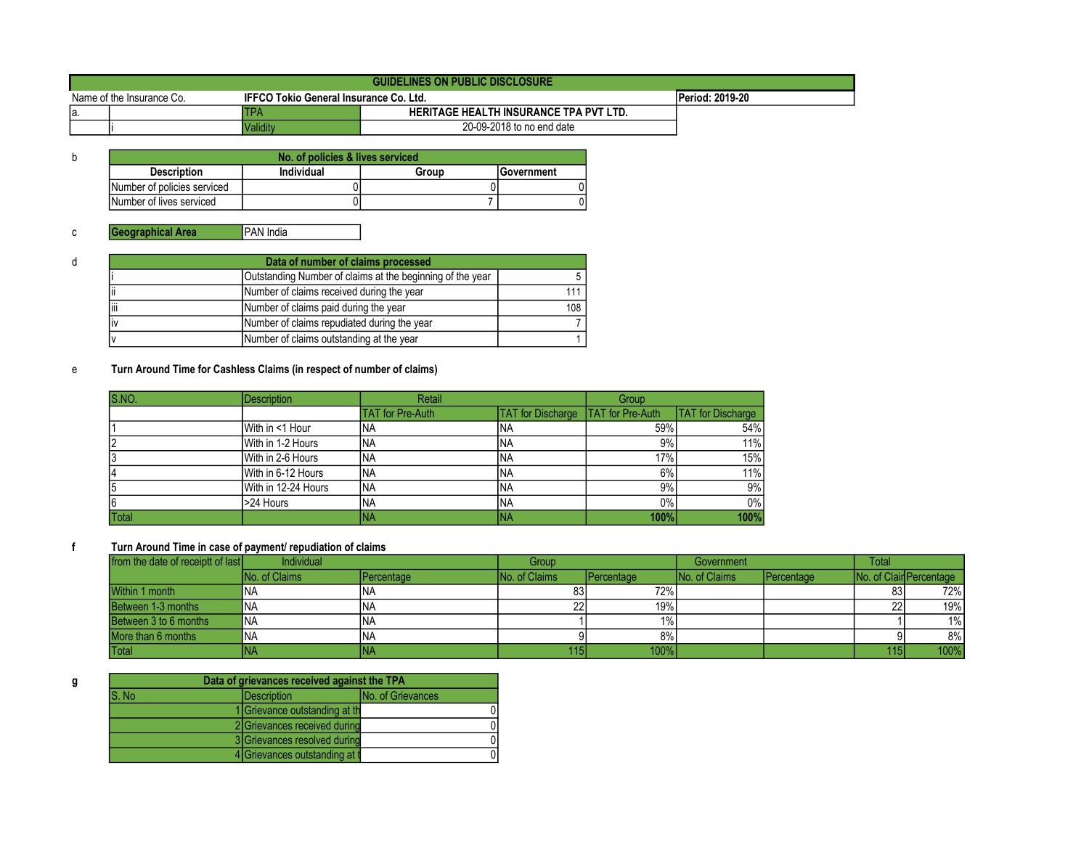|                                                                     | <b>GUIDELINES ON PUBLIC DISCLOSURE</b> |          |                                               |                 |  |  |
|---------------------------------------------------------------------|----------------------------------------|----------|-----------------------------------------------|-----------------|--|--|
| Name of the Insurance Co.<br>IFFCO Tokio General Insurance Co. Ltd. |                                        |          |                                               | Period: 2019-20 |  |  |
| la.                                                                 |                                        | TPA      | <b>HERITAGE HEALTH INSURANCE TPA PVT LTD.</b> |                 |  |  |
|                                                                     |                                        | Validitv | 20-09-2018 to no end date                     |                 |  |  |

| No. of policies & lives serviced |            |       |                    |  |  |
|----------------------------------|------------|-------|--------------------|--|--|
| <b>Description</b>               | Individual | Group | <b>IGovernment</b> |  |  |
| Number of policies serviced      |            |       |                    |  |  |
| Number of lives serviced         |            |       |                    |  |  |

| d    | Data of number of claims processed |                                                           |             |  |  |
|------|------------------------------------|-----------------------------------------------------------|-------------|--|--|
|      |                                    | Outstanding Number of claims at the beginning of the year |             |  |  |
|      | Ϊi                                 | Number of claims received during the year                 | 111 $\vert$ |  |  |
| liii |                                    | Number of claims paid during the year                     | 108         |  |  |
|      | liv                                | Number of claims repudiated during the year               |             |  |  |
|      |                                    | Number of claims outstanding at the year                  |             |  |  |

## e Turn Around Time for Cashless Claims (in respect of number of claims)

| S.NO.        | <b>Description</b>  | Retail           |                          | Group                   |                          |
|--------------|---------------------|------------------|--------------------------|-------------------------|--------------------------|
|              |                     | TAT for Pre-Auth | <b>TAT</b> for Discharge | <b>TAT</b> for Pre-Auth | <b>TAT</b> for Discharge |
|              | With in <1 Hour     | 'NA              | INA                      | 59%                     | 54%                      |
|              | With in 1-2 Hours   | <b>NA</b>        | INA                      | 9%                      | 11%                      |
|              | With in 2-6 Hours   | <b>NA</b>        | INA                      | 17%                     | 15%                      |
|              | With in 6-12 Hours  | <b>NA</b>        | INA                      | 6%                      | 11%                      |
|              | With in 12-24 Hours | <b>NA</b>        | <b>INA</b>               | 9%                      | 9%                       |
| 6            | >24 Hours           | <b>NA</b>        | INA                      | 0%                      | 0%                       |
| <b>Total</b> |                     | INA              | INA                      | 100%                    | 100%                     |

#### f Turn Around Time in case of payment/ repudiation of claims

| from the date of receiptt of last | Individual            |                    | Group                |                    | Government           |                     | <b>Total</b> |                         |
|-----------------------------------|-----------------------|--------------------|----------------------|--------------------|----------------------|---------------------|--------------|-------------------------|
|                                   | <b>INo. of Claims</b> | <b>IPercentage</b> | <b>No. of Claims</b> | <b>IPercentage</b> | <b>No. of Claims</b> | <b>I</b> Percentage |              | No. of Clair Percentage |
| Within 1 month                    | ΝA                    | INA                | 83                   | 72%                |                      |                     | 83           | 72%                     |
| Between 1-3 months                | 'NA                   | <b>INA</b>         |                      | 19%                |                      |                     | 22           | 19%                     |
| Between 3 to 6 months             | <b>NA</b>             | <b>INA</b>         |                      | $1\%$              |                      |                     |              | 1%                      |
| More than 6 months                | <b>NA</b>             | <b>INA</b>         |                      | $8\%$              |                      |                     |              | 8%                      |
| Total                             | ΙNΑ                   | INA                | 115                  | 100%               |                      |                     | 115          | 100%                    |

| Data of grievances received against the TPA              |                                |  |  |  |
|----------------------------------------------------------|--------------------------------|--|--|--|
| S. No<br><b>No. of Grievances</b><br><b>IDescription</b> |                                |  |  |  |
|                                                          | 1 Grievance outstanding at the |  |  |  |
|                                                          | 2 Grievances received during   |  |  |  |
|                                                          | 3 Grievances resolved during   |  |  |  |
|                                                          | 4 Grievances outstanding at t  |  |  |  |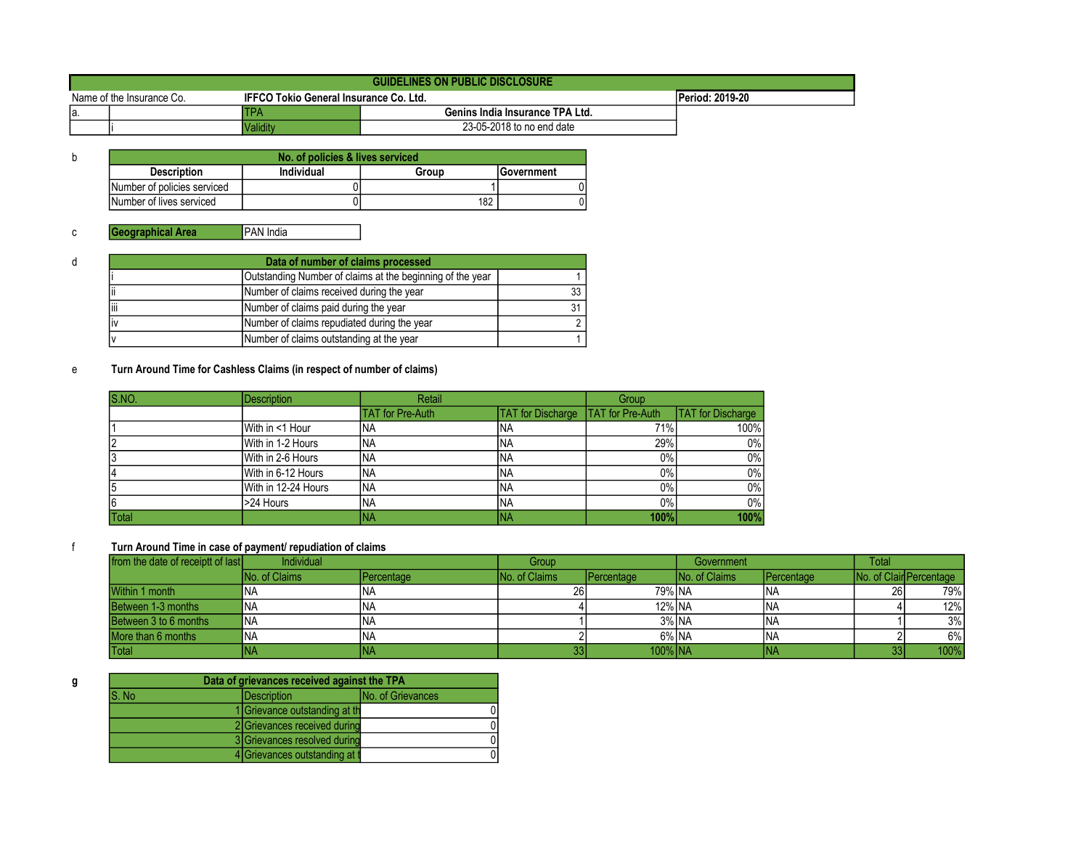|                                                                            | GUIDELINES ON PUBLIC DISCLOSURE |            |                                 |                        |  |  |
|----------------------------------------------------------------------------|---------------------------------|------------|---------------------------------|------------------------|--|--|
| <b>IFFCO Tokio General Insurance Co. Ltd.</b><br>Name of the Insurance Co. |                                 |            |                                 | <b>Period: 2019-20</b> |  |  |
| la.                                                                        |                                 | <b>TPA</b> | Genins India Insurance TPA Ltd. |                        |  |  |
|                                                                            |                                 | Validitv   | 23-05-2018 to no end date       |                        |  |  |

| No. of policies & lives serviced |            |       |                    |  |  |
|----------------------------------|------------|-------|--------------------|--|--|
| <b>Description</b>               | Individual | Group | <b>IGovernment</b> |  |  |
| Number of policies serviced      |            |       |                    |  |  |
| Number of lives serviced         |            | 182   |                    |  |  |

| d | Data of number of claims processed |                                                           |      |  |  |  |
|---|------------------------------------|-----------------------------------------------------------|------|--|--|--|
|   |                                    | Outstanding Number of claims at the beginning of the year |      |  |  |  |
|   |                                    | Number of claims received during the year                 | 33 I |  |  |  |
|   | liii                               | Number of claims paid during the year                     | 31 I |  |  |  |
|   | liv                                | Number of claims repudiated during the year               |      |  |  |  |
|   |                                    | Number of claims outstanding at the year                  |      |  |  |  |

## e Turn Around Time for Cashless Claims (in respect of number of claims)

| S.NO.        | <b>Description</b>  | Retail                  |                          | Group                   |                          |
|--------------|---------------------|-------------------------|--------------------------|-------------------------|--------------------------|
|              |                     | <b>TAT</b> for Pre-Auth | <b>TAT</b> for Discharge | <b>TAT</b> for Pre-Auth | <b>TAT</b> for Discharge |
|              | With in <1 Hour     | <b>NA</b>               | <b>INA</b>               | 71%                     | 100%                     |
|              | With in 1-2 Hours   | <b>NA</b>               | <b>INA</b>               | 29%                     | $0\%$                    |
|              | With in 2-6 Hours   | <b>NA</b>               | <b>INA</b>               | 0%                      | $0\%$                    |
|              | With in 6-12 Hours  | <b>NA</b>               | <b>INA</b>               | 0%                      | $0\%$                    |
|              | With in 12-24 Hours | <b>NA</b>               | INA                      | $0\%$                   | $0\%$                    |
| 6            | >24 Hours           | <b>INA</b>              | INA                      | $0\%$                   | $0\%$                    |
| <b>Total</b> |                     | INA                     | <b>INA</b>               | 100%                    | 100%                     |

#### f Turn Around Time in case of payment/ repudiation of claims

| from the date of receiptt of last | Individual            |                    | Group                 |                    | Government           |                     | <b>Total</b> |                                 |
|-----------------------------------|-----------------------|--------------------|-----------------------|--------------------|----------------------|---------------------|--------------|---------------------------------|
|                                   | <b>INo. of Claims</b> | <b>IPercentage</b> | <b>INo. of Claims</b> | <b>IPercentage</b> | <b>No. of Claims</b> | <b>I</b> Percentage |              | <b>INo. of Clair Percentage</b> |
| Within 1 month                    | ΝA                    | INA                | 26                    | 79% NA             |                      | <b>INA</b>          | <b>26</b>    | 79% <sub>I</sub>                |
| Between 1-3 months                | ΝA                    | INA                |                       | 12% NA             |                      | <b>INA</b>          |              | 12%                             |
| Between 3 to 6 months             | <b>NA</b>             | INA                |                       | 3% NA              |                      | <b>INA</b>          |              | 3%                              |
| More than 6 months                | <b>NA</b>             | <b>INA</b>         |                       | 6% NA              |                      | <b>INA</b>          |              | 6%                              |
| Total                             | INA                   | INA                |                       | $100\%$ $NA$       |                      | INA                 |              | 100%                            |

| Data of grievances received against the TPA              |                                |  |  |  |  |
|----------------------------------------------------------|--------------------------------|--|--|--|--|
| <b>No. of Grievances</b><br>S. No<br><b>IDescription</b> |                                |  |  |  |  |
|                                                          | 1 Grievance outstanding at the |  |  |  |  |
|                                                          | 2 Grievances received during   |  |  |  |  |
|                                                          | 3 Grievances resolved during   |  |  |  |  |
|                                                          | 4 Grievances outstanding at t  |  |  |  |  |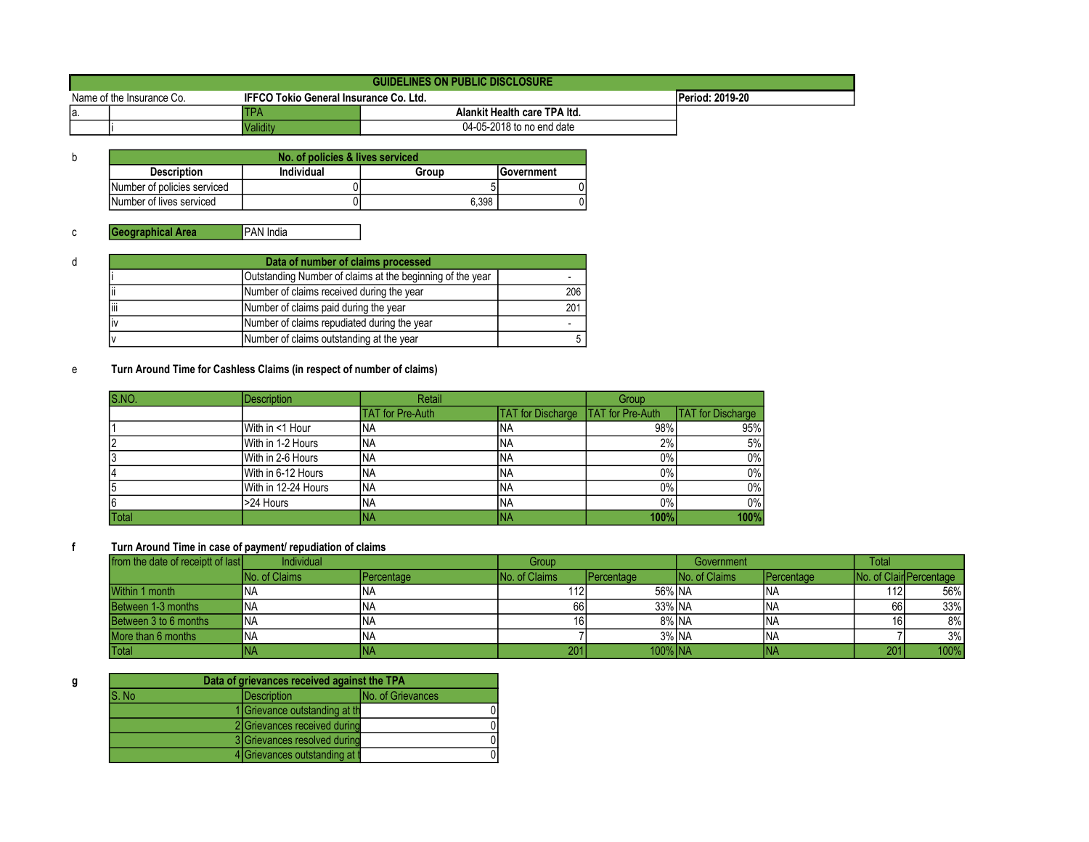|                           | GUIDELINES ON PUBLIC DISCLOSURE |                                               |                              |  |  |  |  |
|---------------------------|---------------------------------|-----------------------------------------------|------------------------------|--|--|--|--|
| Name of the Insurance Co. |                                 | <b>IFFCO Tokio General Insurance Co. Ltd.</b> | Period: 2019-20              |  |  |  |  |
| la.                       |                                 | TPA                                           | Alankit Health care TPA Itd. |  |  |  |  |
|                           |                                 | Validitv                                      | 04-05-2018 to no end date    |  |  |  |  |

| No. of policies & lives serviced |            |       |                    |  |  |  |
|----------------------------------|------------|-------|--------------------|--|--|--|
| <b>Description</b>               | Individual | Group | <b>IGovernment</b> |  |  |  |
| Number of policies serviced      |            |       |                    |  |  |  |
| Number of lives serviced         |            | 6.398 |                    |  |  |  |

| đ   | Data of number of claims processed |                                                           |     |  |  |  |  |
|-----|------------------------------------|-----------------------------------------------------------|-----|--|--|--|--|
|     |                                    | Outstanding Number of claims at the beginning of the year |     |  |  |  |  |
|     | Ϊi                                 | Number of claims received during the year                 | 206 |  |  |  |  |
|     | liii                               | Number of claims paid during the year                     | 201 |  |  |  |  |
| liv |                                    | Number of claims repudiated during the year               |     |  |  |  |  |
|     |                                    | Number of claims outstanding at the year                  |     |  |  |  |  |

## e Turn Around Time for Cashless Claims (in respect of number of claims)

| S.NO.        | <b>Description</b>  | Retail                  |                          | Group                   |                          |
|--------------|---------------------|-------------------------|--------------------------|-------------------------|--------------------------|
|              |                     | <b>TAT for Pre-Auth</b> | <b>TAT</b> for Discharge | <b>TAT</b> for Pre-Auth | <b>TAT</b> for Discharge |
|              | With in <1 Hour     | <b>NA</b>               | <b>INA</b>               | 98%                     | 95%                      |
|              | With in 1-2 Hours   | <b>NA</b>               | <b>INA</b>               | 2%                      | 5%                       |
|              | With in 2-6 Hours   | <b>NA</b>               | INA                      | $0\%$                   | $0\%$                    |
|              | With in 6-12 Hours  | <b>NA</b>               | <b>INA</b>               | 0%                      | $0\%$                    |
|              | With in 12-24 Hours | <b>NA</b>               | <b>INA</b>               | $0\%$                   | $0\%$                    |
| 6            | >24 Hours           | <b>NA</b>               | <b>INA</b>               | $0\%$                   | $0\%$                    |
| <b>Total</b> |                     | INA                     | INA                      | 100%                    | 100%                     |

#### f Turn Around Time in case of payment/ repudiation of claims

| from the date of receiptt of last | Individual           |                    | Group                 |                    | Government           |                     | <b>Total</b> |                                 |
|-----------------------------------|----------------------|--------------------|-----------------------|--------------------|----------------------|---------------------|--------------|---------------------------------|
|                                   | <b>No. of Claims</b> | <b>IPercentage</b> | <b>INo. of Claims</b> | <b>IPercentage</b> | <b>No. of Claims</b> | <b>I</b> Percentage |              | <b>INo. of Clair Percentage</b> |
| Within 1 month                    | ΝA                   | INA                | 112                   | 56% NA             |                      | INA.                | 112          | 56%                             |
| Between 1-3 months                | ΝA                   | INA                | 66 I                  | 33% NA             |                      | INA.                | 66           | 33%                             |
| Between 3 to 6 months             | ΝA                   | INA                | 161                   | 8% NA              |                      | <b>INA</b>          |              | 8%                              |
| More than 6 months                | ΝA                   | INA                |                       | 3% NA              |                      | <b>INA</b>          |              | 3%                              |
| <b>Total</b>                      | NA.                  | INA                | 201                   | 100% INA           |                      | INA                 | 201          | 100%                            |

| Data of grievances received against the TPA |                                                 |                                |  |  |  |
|---------------------------------------------|-------------------------------------------------|--------------------------------|--|--|--|
| lS. No                                      | <b>No. of Grievances</b><br><b>IDescription</b> |                                |  |  |  |
|                                             |                                                 | 1 Grievance outstanding at the |  |  |  |
|                                             |                                                 | 2 Grievances received during   |  |  |  |
|                                             |                                                 | 3 Grievances resolved during   |  |  |  |
|                                             |                                                 | 4 Grievances outstanding at t  |  |  |  |